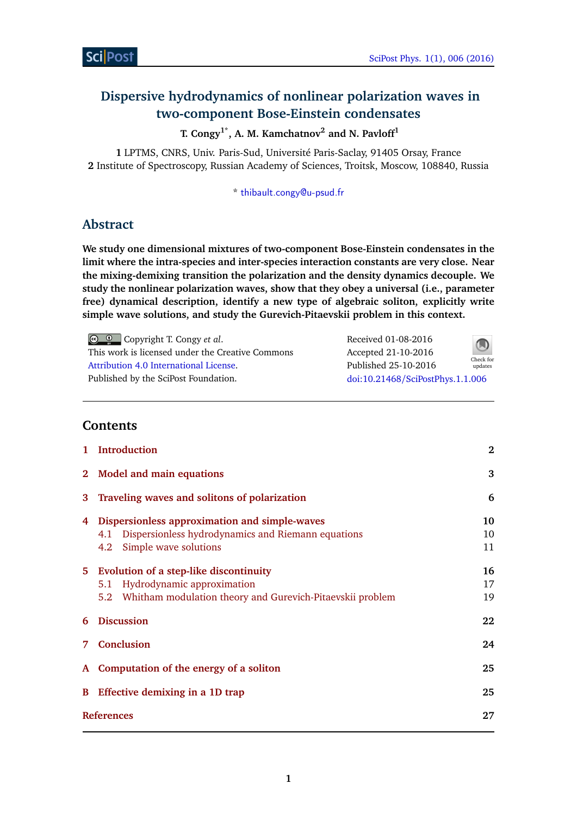Check for updates

# **Dispersive hydrodynamics of nonlinear polarization waves in two-component Bose-Einstein condensates**

**T. Congy1\*, A. M. Kamchatnov<sup>2</sup> and N. Pavloff<sup>1</sup>**

**1** LPTMS, CNRS, Univ. Paris-Sud, Université Paris-Saclay, 91405 Orsay, France **2** Institute of Spectroscopy, Russian Academy of Sciences, Troitsk, Moscow, 108840, Russia

\* [thibault.congy@u-psud.fr](mailto:thibault.congy@u-psud.fr)

# **Abstract**

**We study one dimensional mixtures of two-component Bose-Einstein condensates in the limit where the intra-species and inter-species interaction constants are very close. Near the mixing-demixing transition the polarization and the density dynamics decouple. We study the nonlinear polarization waves, show that they obey a universal (i.e., parameter free) dynamical description, identify a new type of algebraic soliton, explicitly write simple wave solutions, and study the Gurevich-Pitaevskii problem in this context.**

Copyright T. Congy *et al*. This work is licensed under the Creative Commons [Attribution 4.0 International License.](http://creativecommons.org/licenses/by/4.0/) Published by the SciPost Foundation. Received 01-08-2016 Accepted 21-10-2016 Published 25-10-2016 doi:10.21468/[SciPostPhys.1.1.006](https://doi.org/10.21468/SciPostPhys.1.1.006)

# **Contents**

| 1                 | <b>Introduction</b>                                           | $\bf{2}$ |
|-------------------|---------------------------------------------------------------|----------|
| $2^{\circ}$       | <b>Model and main equations</b>                               | 3        |
| 3                 | Traveling waves and solitons of polarization                  | 6        |
| 4                 | Dispersionless approximation and simple-waves                 | 10       |
|                   | Dispersionless hydrodynamics and Riemann equations<br>4.1     | 10       |
|                   | Simple wave solutions<br>4.2                                  | 11       |
|                   | 5 Evolution of a step-like discontinuity                      | 16       |
|                   | 5.1 Hydrodynamic approximation                                | 17       |
|                   | 5.2 Whitham modulation theory and Gurevich-Pitaevskii problem | 19       |
| 6                 | <b>Discussion</b>                                             | 22       |
| 7                 | <b>Conclusion</b>                                             | 24       |
| ${\bf A}$         | Computation of the energy of a soliton                        | 25       |
| B                 | Effective demixing in a 1D trap                               | 25       |
| <b>References</b> |                                                               | 27       |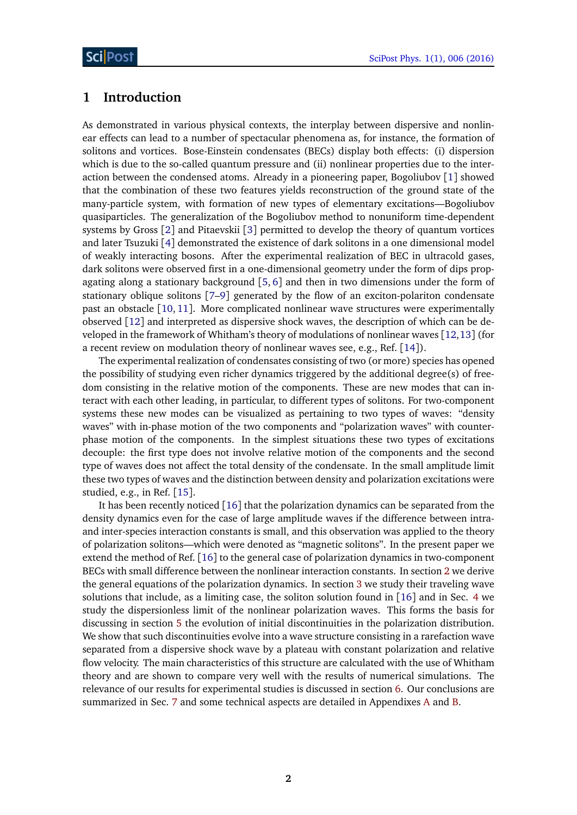# <span id="page-1-0"></span>**1 Introduction**

As demonstrated in various physical contexts, the interplay between dispersive and nonlinear effects can lead to a number of spectacular phenomena as, for instance, the formation of solitons and vortices. Bose-Einstein condensates (BECs) display both effects: (i) dispersion which is due to the so-called quantum pressure and (ii) nonlinear properties due to the interaction between the condensed atoms. Already in a pioneering paper, Bogoliubov [[1](#page-26-1)] showed that the combination of these two features yields reconstruction of the ground state of the many-particle system, with formation of new types of elementary excitations—Bogoliubov quasiparticles. The generalization of the Bogoliubov method to nonuniform time-dependent systems by Gross [[2](#page-26-2)] and Pitaevskii [[3](#page-26-3)] permitted to develop the theory of quantum vortices and later Tsuzuki [[4](#page-26-4)] demonstrated the existence of dark solitons in a one dimensional model of weakly interacting bosons. After the experimental realization of BEC in ultracold gases, dark solitons were observed first in a one-dimensional geometry under the form of dips propagating along a stationary background  $[5, 6]$  $[5, 6]$  $[5, 6]$  $[5, 6]$  $[5, 6]$  and then in two dimensions under the form of stationary oblique solitons [[7–](#page-26-7)[9](#page-26-8)] generated by the flow of an exciton-polariton condensate past an obstacle [[10,](#page-26-9) [11](#page-26-10)]. More complicated nonlinear wave structures were experimentally observed [[12](#page-27-0)] and interpreted as dispersive shock waves, the description of which can be developed in the framework of Whitham's theory of modulations of nonlinear waves [[12,](#page-27-0)[13](#page-27-1)] (for a recent review on modulation theory of nonlinear waves see, e.g., Ref. [[14](#page-27-2)]).

The experimental realization of condensates consisting of two (or more) species has opened the possibility of studying even richer dynamics triggered by the additional degree(s) of freedom consisting in the relative motion of the components. These are new modes that can interact with each other leading, in particular, to different types of solitons. For two-component systems these new modes can be visualized as pertaining to two types of waves: "density waves" with in-phase motion of the two components and "polarization waves" with counterphase motion of the components. In the simplest situations these two types of excitations decouple: the first type does not involve relative motion of the components and the second type of waves does not affect the total density of the condensate. In the small amplitude limit these two types of waves and the distinction between density and polarization excitations were studied, e.g., in Ref. [[15](#page-27-3)].

It has been recently noticed [[16](#page-27-4)] that the polarization dynamics can be separated from the density dynamics even for the case of large amplitude waves if the difference between intraand inter-species interaction constants is small, and this observation was applied to the theory of polarization solitons—which were denoted as "magnetic solitons". In the present paper we extend the method of Ref. [[16](#page-27-4)] to the general case of polarization dynamics in two-component BECs with small difference between the nonlinear interaction constants. In section [2](#page-2-0) we derive the general equations of the polarization dynamics. In section [3](#page-5-0) we study their traveling wave solutions that include, as a limiting case, the soliton solution found in [[16](#page-27-4)] and in Sec. [4](#page-9-0) we study the dispersionless limit of the nonlinear polarization waves. This forms the basis for discussing in section [5](#page-15-0) the evolution of initial discontinuities in the polarization distribution. We show that such discontinuities evolve into a wave structure consisting in a rarefaction wave separated from a dispersive shock wave by a plateau with constant polarization and relative flow velocity. The main characteristics of this structure are calculated with the use of Whitham theory and are shown to compare very well with the results of numerical simulations. The relevance of our results for experimental studies is discussed in section [6.](#page-21-0) Our conclusions are summarized in Sec. [7](#page-23-0) and some technical aspects are detailed in Appendixes [A](#page-24-0) and [B.](#page-24-1)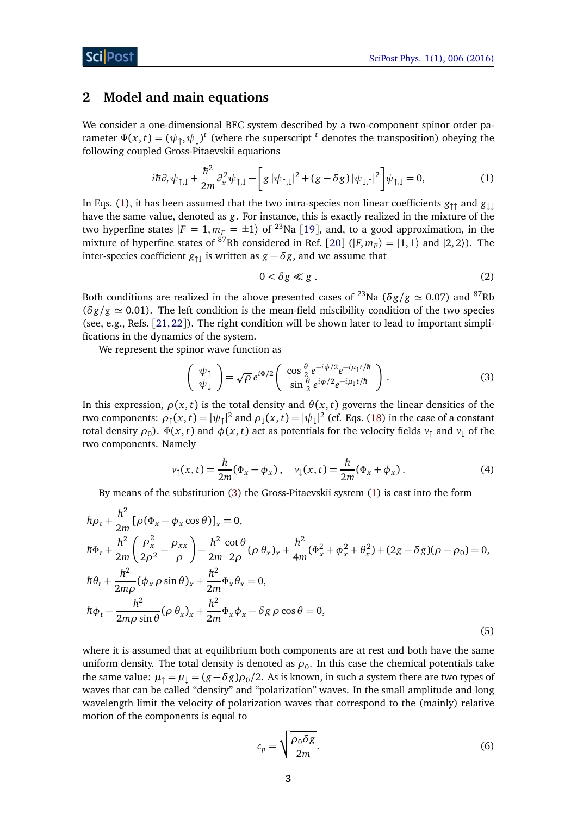## <span id="page-2-0"></span>**2 Model and main equations**

We consider a one-dimensional BEC system described by a two-component spinor order parameter  $\Psi(x,t) = (\psi_{\uparrow}, \psi_{\downarrow})^t$  (where the superscript <sup>t</sup> denotes the transposition) obeying the following coupled Gross-Pitaevskii equations

$$
i\hbar \partial_t \psi_{\uparrow,\downarrow} + \frac{\hbar^2}{2m} \partial_x^2 \psi_{\uparrow,\downarrow} - \left[ g \, |\psi_{\uparrow,\downarrow}|^2 + (g - \delta g) \, |\psi_{\downarrow,\uparrow}|^2 \right] \psi_{\uparrow,\downarrow} = 0, \tag{1}
$$

In Eqs. [\(1\)](#page-2-1), it has been assumed that the two intra-species non linear coefficients  $g_{\uparrow\uparrow}$  and  $g_{\downarrow\downarrow}$ have the same value, denoted as *g*. For instance, this is exactly realized in the mixture of the two hyperfine states  $|F = 1, m_F = \pm 1\rangle$  of <sup>23</sup>Na [[19](#page-27-5)], and, to a good approximation, in the mixture of hyperfine states of <sup>87</sup>Rb considered in Ref. [[20](#page-27-6)]  $(|F, m_F\rangle = |1, 1\rangle$  and  $|2, 2\rangle$ ). The inter-species coefficient  $g_{\uparrow\downarrow}$  is written as  $g - \delta g$ , and we assume that

<span id="page-2-4"></span><span id="page-2-3"></span><span id="page-2-2"></span><span id="page-2-1"></span>
$$
0 < \delta g \ll g \tag{2}
$$

Both conditions are realized in the above presented cases of <sup>23</sup>Na ( $\delta g/g \simeq 0.07$ ) and <sup>87</sup>Rb  $(\delta g/g \simeq 0.01)$ . The left condition is the mean-field miscibility condition of the two species (see, e.g., Refs. [[21,](#page-27-7)[22](#page-27-8)]). The right condition will be shown later to lead to important simplifications in the dynamics of the system.

We represent the spinor wave function as

$$
\begin{pmatrix}\n\psi_{\uparrow} \\
\psi_{\downarrow}\n\end{pmatrix} = \sqrt{\rho} e^{i\Phi/2} \begin{pmatrix}\n\cos\frac{\theta}{2} e^{-i\phi/2} e^{-i\mu_{\uparrow}t/\hbar} \\
\sin\frac{\theta}{2} e^{i\phi/2} e^{-i\mu_{\downarrow}t/\hbar}\n\end{pmatrix}.
$$
\n(3)

In this expression,  $\rho(x, t)$  is the total density and  $\theta(x, t)$  governs the linear densities of the two components:  $\rho_{\uparrow}(x,t) = |\psi_{\uparrow}|^2$  and  $\rho_{\downarrow}(x,t) = |\psi_{\downarrow}|^2$  (cf. Eqs. [\(18\)](#page-4-0) in the case of a constant total density  $\rho_0$ ).  $\Phi(x,t)$  and  $\phi(x,t)$  act as potentials for the velocity fields  $v_\uparrow$  and  $v_\downarrow$  of the two components. Namely

$$
v_{\uparrow}(x,t) = \frac{\hbar}{2m}(\Phi_x - \phi_x), \quad v_{\downarrow}(x,t) = \frac{\hbar}{2m}(\Phi_x + \phi_x). \tag{4}
$$

By means of the substitution [\(3\)](#page-2-2) the Gross-Pitaevskii system [\(1\)](#page-2-1) is cast into the form

$$
\hbar \rho_t + \frac{\hbar^2}{2m} [\rho (\Phi_x - \phi_x \cos \theta)]_x = 0,
$$
\n
$$
\hbar \Phi_t + \frac{\hbar^2}{2m} \left( \frac{\rho_x^2}{2\rho^2} - \frac{\rho_{xx}}{\rho} \right) - \frac{\hbar^2}{2m} \frac{\cot \theta}{2\rho} (\rho \theta_x)_x + \frac{\hbar^2}{4m} (\Phi_x^2 + \phi_x^2 + \theta_x^2) + (2g - \delta g)(\rho - \rho_0) = 0,
$$
\n
$$
\hbar \theta_t + \frac{\hbar^2}{2m\rho} (\phi_x \rho \sin \theta)_x + \frac{\hbar^2}{2m} \Phi_x \theta_x = 0,
$$
\n
$$
\hbar \phi_t - \frac{\hbar^2}{2m\rho \sin \theta} (\rho \theta_x)_x + \frac{\hbar^2}{2m} \Phi_x \phi_x - \delta g \rho \cos \theta = 0,
$$
\n(5)

where it is assumed that at equilibrium both components are at rest and both have the same uniform density. The total density is denoted as  $\rho_0$ . In this case the chemical potentials take the same value:  $\mu_{\uparrow} = \mu_{\downarrow} = (g - \delta g) \rho_0 / 2$ . As is known, in such a system there are two types of waves that can be called "density" and "polarization" waves. In the small amplitude and long wavelength limit the velocity of polarization waves that correspond to the (mainly) relative motion of the components is equal to

$$
c_p = \sqrt{\frac{\rho_0 \delta g}{2m}}.\tag{6}
$$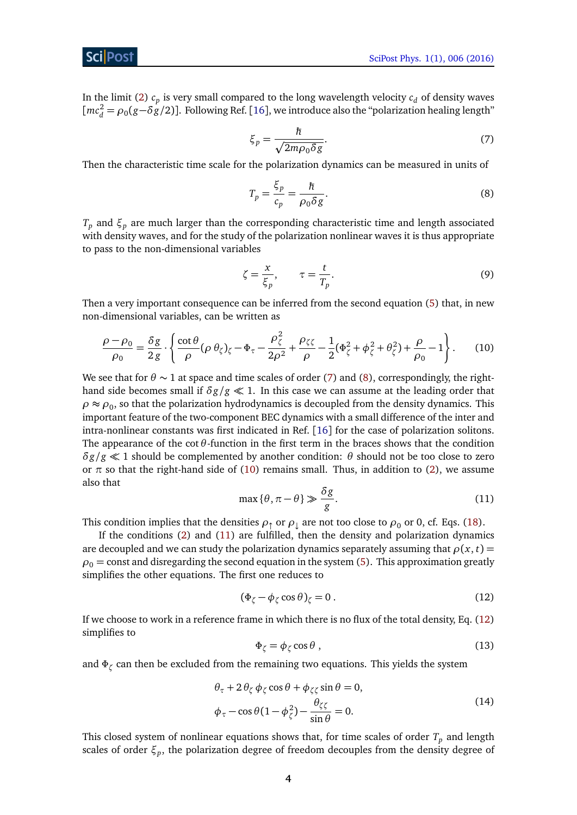## ScilPos<sup>.</sup>

<span id="page-3-0"></span>In the limit [\(2\)](#page-2-3)  $c_p$  is very small compared to the long wavelength velocity  $c_d$  of density waves  $[mc_d^2 = \rho_0(g - \delta g/2)]$ . Following Ref. [[16](#page-27-4)], we introduce also the "polarization healing length"

$$
\xi_p = \frac{\hbar}{\sqrt{2m\rho_0 \delta g}}.\tag{7}
$$

Then the characteristic time scale for the polarization dynamics can be measured in units of

<span id="page-3-1"></span>
$$
T_p = \frac{\xi_p}{c_p} = \frac{\hbar}{\rho_0 \delta g}.
$$
\n(8)

*T<sup>p</sup>* and *ξ<sup>p</sup>* are much larger than the corresponding characteristic time and length associated with density waves, and for the study of the polarization nonlinear waves it is thus appropriate to pass to the non-dimensional variables

<span id="page-3-2"></span>
$$
\zeta = \frac{x}{\xi_p}, \qquad \tau = \frac{t}{T_p}.\tag{9}
$$

Then a very important consequence can be inferred from the second equation [\(5\)](#page-2-4) that, in new non-dimensional variables, can be written as

$$
\frac{\rho - \rho_0}{\rho_0} = \frac{\delta g}{2g} \cdot \left\{ \frac{\cot \theta}{\rho} (\rho \theta_\zeta)_\zeta - \Phi_\tau - \frac{\rho_\zeta^2}{2\rho^2} + \frac{\rho_{\zeta\zeta}}{\rho} - \frac{1}{2} (\Phi_\zeta^2 + \phi_\zeta^2 + \theta_\zeta^2) + \frac{\rho}{\rho_0} - 1 \right\}.
$$
 (10)

We see that for  $\theta \sim 1$  at space and time scales of order [\(7\)](#page-3-0) and [\(8\)](#page-3-1), correspondingly, the righthand side becomes small if  $\delta g/g \ll 1$ . In this case we can assume at the leading order that  $\rho \approx \rho_0$ , so that the polarization hydrodynamics is decoupled from the density dynamics. This important feature of the two-component BEC dynamics with a small difference of the inter and intra-nonlinear constants was first indicated in Ref. [[16](#page-27-4)] for the case of polarization solitons. The appearance of the cot*θ*-function in the first term in the braces shows that the condition  $\delta g/g \ll 1$  should be complemented by another condition:  $\theta$  should not be too close to zero or  $\pi$  so that the right-hand side of [\(10\)](#page-3-2) remains small. Thus, in addition to [\(2\)](#page-2-3), we assume also that

$$
\max{\theta, \pi - \theta} \gg \frac{\delta g}{g}.
$$
 (11)

<span id="page-3-3"></span>This condition implies that the densities  $\rho_1$  or  $\rho_1$  are not too close to  $\rho_0$  or 0, cf. Eqs. [\(18\)](#page-4-0).

If the conditions [\(2\)](#page-2-3) and [\(11\)](#page-3-3) are fulfilled, then the density and polarization dynamics are decoupled and we can study the polarization dynamics separately assuming that  $\rho(x, t)$  =  $\rho_0$  = const and disregarding the second equation in the system [\(5\)](#page-2-4). This approximation greatly simplifies the other equations. The first one reduces to

<span id="page-3-4"></span>
$$
(\Phi_{\zeta} - \phi_{\zeta} \cos \theta)_{\zeta} = 0.
$$
 (12)

If we choose to work in a reference frame in which there is no flux of the total density, Eq. [\(12\)](#page-3-4) simplifies to

<span id="page-3-5"></span>
$$
\Phi_{\zeta} = \phi_{\zeta} \cos \theta , \qquad (13)
$$

and *Φ<sup>ζ</sup>* can then be excluded from the remaining two equations. This yields the system

$$
\theta_{\tau} + 2 \theta_{\zeta} \phi_{\zeta} \cos \theta + \phi_{\zeta\zeta} \sin \theta = 0,
$$
  

$$
\phi_{\tau} - \cos \theta (1 - \phi_{\zeta}^2) - \frac{\theta_{\zeta\zeta}}{\sin \theta} = 0.
$$
 (14)

This closed system of nonlinear equations shows that, for time scales of order  $T_p$  and length scales of order *ξ<sup>p</sup>* , the polarization degree of freedom decouples from the density degree of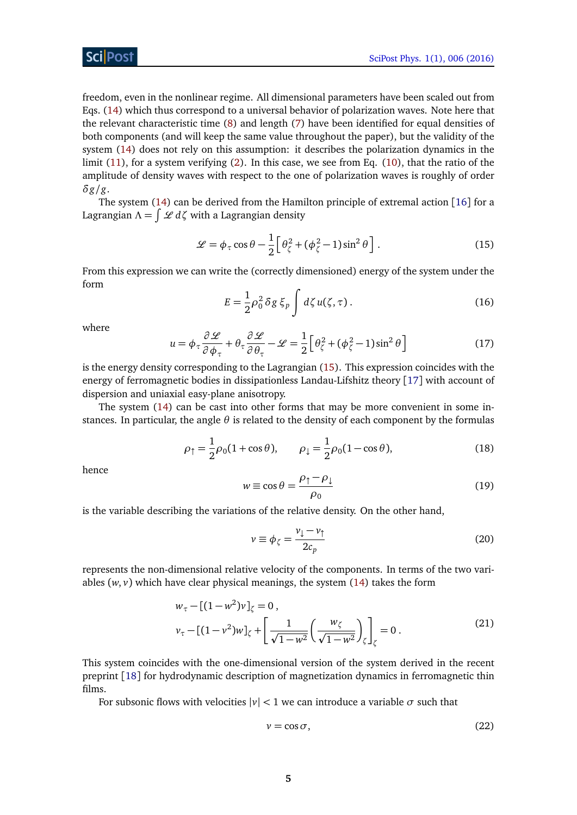# ScilPos<sup>.</sup>

freedom, even in the nonlinear regime. All dimensional parameters have been scaled out from Eqs. [\(14\)](#page-3-5) which thus correspond to a universal behavior of polarization waves. Note here that the relevant characteristic time [\(8\)](#page-3-1) and length [\(7\)](#page-3-0) have been identified for equal densities of both components (and will keep the same value throughout the paper), but the validity of the system [\(14\)](#page-3-5) does not rely on this assumption: it describes the polarization dynamics in the limit [\(11\)](#page-3-3), for a system verifying [\(2\)](#page-2-3). In this case, we see from Eq. [\(10\)](#page-3-2), that the ratio of the amplitude of density waves with respect to the one of polarization waves is roughly of order *δg/g*.

The system [\(14\)](#page-3-5) can be derived from the Hamilton principle of extremal action [[16](#page-27-4)] for a Lagrangian *Λ* = R L *dζ* with a Lagrangian density

<span id="page-4-1"></span>
$$
\mathcal{L} = \phi_{\tau} \cos \theta - \frac{1}{2} \left[ \theta_{\zeta}^2 + (\phi_{\zeta}^2 - 1) \sin^2 \theta \right].
$$
 (15)

<span id="page-4-3"></span>From this expression we can write the (correctly dimensioned) energy of the system under the form

$$
E = \frac{1}{2}\rho_0^2 \delta g \xi_p \int d\zeta u(\zeta, \tau). \tag{16}
$$

<span id="page-4-4"></span>where

$$
u = \phi_{\tau} \frac{\partial \mathcal{L}}{\partial \phi_{\tau}} + \theta_{\tau} \frac{\partial \mathcal{L}}{\partial \theta_{\tau}} - \mathcal{L} = \frac{1}{2} \left[ \theta_{\zeta}^2 + (\phi_{\zeta}^2 - 1) \sin^2 \theta \right]
$$
(17)

is the energy density corresponding to the Lagrangian [\(15\)](#page-4-1). This expression coincides with the energy of ferromagnetic bodies in dissipationless Landau-Lifshitz theory [[17](#page-27-9)] with account of dispersion and uniaxial easy-plane anisotropy.

<span id="page-4-0"></span>The system [\(14\)](#page-3-5) can be cast into other forms that may be more convenient in some instances. In particular, the angle  $\theta$  is related to the density of each component by the formulas

$$
\rho_{\uparrow} = \frac{1}{2}\rho_0(1 + \cos\theta), \qquad \rho_{\downarrow} = \frac{1}{2}\rho_0(1 - \cos\theta), \tag{18}
$$

hence

$$
w \equiv \cos \theta = \frac{\rho_{\uparrow} - \rho_{\downarrow}}{\rho_0} \tag{19}
$$

is the variable describing the variations of the relative density. On the other hand,

<span id="page-4-5"></span>
$$
v \equiv \phi_{\zeta} = \frac{v_{\downarrow} - v_{\uparrow}}{2c_p} \tag{20}
$$

represents the non-dimensional relative velocity of the components. In terms of the two variables  $(w, v)$  which have clear physical meanings, the system  $(14)$  takes the form

$$
w_{\tau} - [(1 - w^2)v]_{\zeta} = 0, \n v_{\tau} - [(1 - v^2)w]_{\zeta} + \left[ \frac{1}{\sqrt{1 - w^2}} \left( \frac{w_{\zeta}}{\sqrt{1 - w^2}} \right)_{\zeta} \right]_{\zeta} = 0.
$$
\n(21)

This system coincides with the one-dimensional version of the system derived in the recent preprint [[18](#page-27-10)] for hydrodynamic description of magnetization dynamics in ferromagnetic thin films.

For subsonic flows with velocities  $|v|$  < 1 we can introduce a variable  $\sigma$  such that

<span id="page-4-2"></span>
$$
v = \cos \sigma,\tag{22}
$$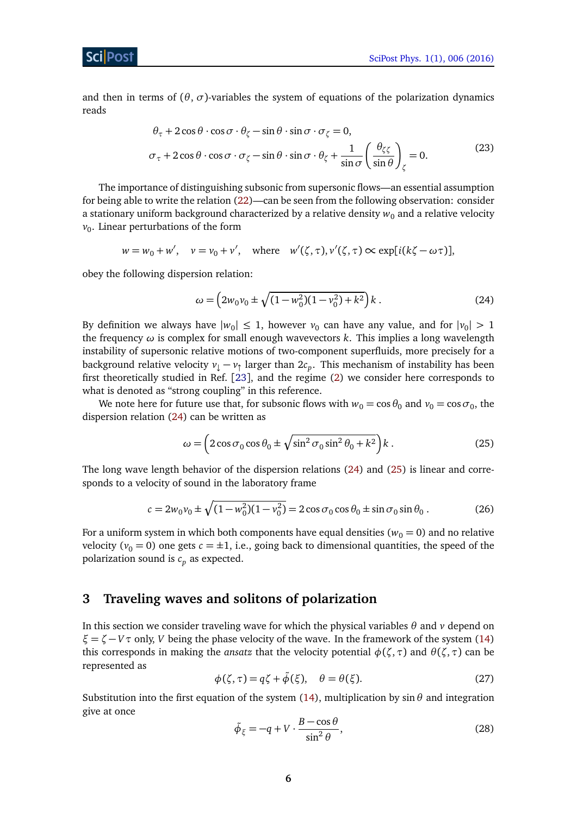<span id="page-5-4"></span>and then in terms of  $(\theta, \sigma)$ -variables the system of equations of the polarization dynamics reads

$$
\theta_{\tau} + 2\cos\theta \cdot \cos\sigma \cdot \theta_{\zeta} - \sin\theta \cdot \sin\sigma \cdot \sigma_{\zeta} = 0,\n\sigma_{\tau} + 2\cos\theta \cdot \cos\sigma \cdot \sigma_{\zeta} - \sin\theta \cdot \sin\sigma \cdot \theta_{\zeta} + \frac{1}{\sin\sigma} \left(\frac{\theta_{\zeta\zeta}}{\sin\theta}\right)_{\zeta} = 0.
$$
\n(23)

The importance of distinguishing subsonic from supersonic flows—an essential assumption for being able to write the relation [\(22\)](#page-4-2)—can be seen from the following observation: consider a stationary uniform background characterized by a relative density  $w_0$  and a relative velocity  $v_0$ . Linear perturbations of the form

$$
w = w_0 + w', \quad v = v_0 + v', \quad \text{where} \quad w'(\zeta, \tau), v'(\zeta, \tau) \propto \exp[i(k\zeta - \omega \tau)],
$$

obey the following dispersion relation:

<span id="page-5-1"></span>
$$
\omega = \left(2w_0v_0 \pm \sqrt{(1 - w_0^2)(1 - v_0^2) + k^2}\right)k\,. \tag{24}
$$

By definition we always have  $|w_0| \leq 1$ , however  $v_0$  can have any value, and for  $|v_0| > 1$ the frequency *ω* is complex for small enough wavevectors *k*. This implies a long wavelength instability of supersonic relative motions of two-component superfluids, more precisely for a background relative velocity  $v_{\downarrow} - v_{\uparrow}$  larger than  $2c_p$ . This mechanism of instability has been first theoretically studied in Ref. [[23](#page-27-11)], and the regime [\(2\)](#page-2-3) we consider here corresponds to what is denoted as "strong coupling" in this reference.

We note here for future use that, for subsonic flows with  $w_0 = \cos \theta_0$  and  $v_0 = \cos \sigma_0$ , the dispersion relation [\(24\)](#page-5-1) can be written as

<span id="page-5-3"></span><span id="page-5-2"></span>
$$
\omega = \left(2\cos\sigma_0\cos\theta_0 \pm \sqrt{\sin^2\sigma_0\sin^2\theta_0 + k^2}\right)k\,. \tag{25}
$$

The long wave length behavior of the dispersion relations [\(24\)](#page-5-1) and [\(25\)](#page-5-2) is linear and corresponds to a velocity of sound in the laboratory frame

$$
c = 2w_0v_0 \pm \sqrt{(1 - w_0^2)(1 - v_0^2)} = 2\cos\sigma_0\cos\theta_0 \pm \sin\sigma_0\sin\theta_0. \tag{26}
$$

For a uniform system in which both components have equal densities ( $w_0 = 0$ ) and no relative velocity ( $v_0 = 0$ ) one gets  $c = \pm 1$ , i.e., going back to dimensional quantities, the speed of the polarization sound is  $c_p$  as expected.

# <span id="page-5-0"></span>**3 Traveling waves and solitons of polarization**

In this section we consider traveling wave for which the physical variables *θ* and *v* depend on  $\xi = \zeta - V\tau$  only, *V* being the phase velocity of the wave. In the framework of the system [\(14\)](#page-3-5) this corresponds in making the *ansatz* that the velocity potential  $\phi(\zeta, \tau)$  and  $\theta(\zeta, \tau)$  can be represented as

<span id="page-5-5"></span>
$$
\phi(\zeta,\tau) = q\zeta + \tilde{\phi}(\xi), \quad \theta = \theta(\xi). \tag{27}
$$

<span id="page-5-6"></span>Substitution into the first equation of the system [\(14\)](#page-3-5), multiplication by  $\sin \theta$  and integration give at once

$$
\tilde{\phi}_{\xi} = -q + V \cdot \frac{B - \cos \theta}{\sin^2 \theta},\tag{28}
$$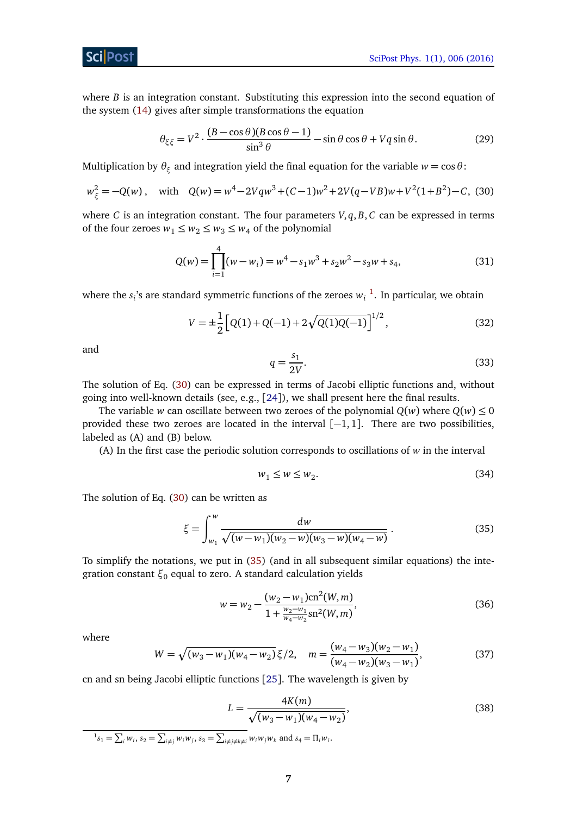**ScilPos** 

where *B* is an integration constant. Substituting this expression into the second equation of the system [\(14\)](#page-3-5) gives after simple transformations the equation

$$
\theta_{\xi\xi} = V^2 \cdot \frac{(B - \cos\theta)(B\cos\theta - 1)}{\sin^3\theta} - \sin\theta\cos\theta + Vq\sin\theta. \tag{29}
$$

Multiplication by  $\theta_{\xi}$  and integration yield the final equation for the variable  $w = \cos \theta$ :

$$
w_{\xi}^{2} = -Q(w), \quad \text{with} \quad Q(w) = w^{4} - 2Vqw^{3} + (C-1)w^{2} + 2V(q-VB)w + V^{2}(1+B^{2}) - C, \tag{30}
$$

where *C* is an integration constant. The four parameters *V*, *q*, *B*, *C* can be expressed in terms of the four zeroes  $w_1 \leq w_2 \leq w_3 \leq w_4$  of the polynomial

$$
Q(w) = \prod_{i=1}^{4} (w - w_i) = w^4 - s_1 w^3 + s_2 w^2 - s_3 w + s_4,
$$
\n(31)

where the  $s_i$ 's are standard symmetric functions of the zeroes  $w_i^{-1}$  $w_i^{-1}$  $w_i^{-1}$ . In particular, we obtain

$$
V = \pm \frac{1}{2} \left[ Q(1) + Q(-1) + 2\sqrt{Q(1)Q(-1)} \right]^{1/2},\tag{32}
$$

and

<span id="page-6-6"></span><span id="page-6-1"></span>
$$
q = \frac{s_1}{2V}.\tag{33}
$$

The solution of Eq. [\(30\)](#page-6-1) can be expressed in terms of Jacobi elliptic functions and, without going into well-known details (see, e.g., [[24](#page-27-12)]), we shall present here the final results.

The variable *w* can oscillate between two zeroes of the polynomial  $Q(w)$  where  $Q(w) \le 0$ provided these two zeroes are located in the interval  $[-1, 1]$ . There are two possibilities, labeled as (A) and (B) below.

(A) In the first case the periodic solution corresponds to oscillations of *w* in the interval

<span id="page-6-3"></span><span id="page-6-2"></span>
$$
w_1 \le w \le w_2. \tag{34}
$$

The solution of Eq. [\(30\)](#page-6-1) can be written as

$$
\xi = \int_{w_1}^{w} \frac{dw}{\sqrt{(w - w_1)(w_2 - w)(w_3 - w)(w_4 - w)}}.
$$
\n(35)

To simplify the notations, we put in [\(35\)](#page-6-2) (and in all subsequent similar equations) the integration constant *ξ*<sup>0</sup> equal to zero. A standard calculation yields

$$
w = w_2 - \frac{(w_2 - w_1)\text{cn}^2(W, m)}{1 + \frac{w_2 - w_1}{w_4 - w_2}\text{sn}^2(W, m)},
$$
\n(36)

<span id="page-6-4"></span>where

$$
W = \sqrt{(w_3 - w_1)(w_4 - w_2)} \xi/2, \quad m = \frac{(w_4 - w_3)(w_2 - w_1)}{(w_4 - w_2)(w_3 - w_1)},
$$
(37)

cn and sn being Jacobi elliptic functions [[25](#page-27-13)]. The wavelength is given by

<span id="page-6-5"></span>
$$
L = \frac{4K(m)}{\sqrt{(w_3 - w_1)(w_4 - w_2)}},\tag{38}
$$

<span id="page-6-0"></span> ${}^{1}S_{1} = \sum_{i} w_{i},$   $S_{2} = \sum_{i \neq j} w_{i} w_{j},$   $S_{3} = \sum_{i \neq j \neq k \neq i} w_{i} w_{j} w_{k}$  and  $S_{4} = \prod_{i} w_{i}$ .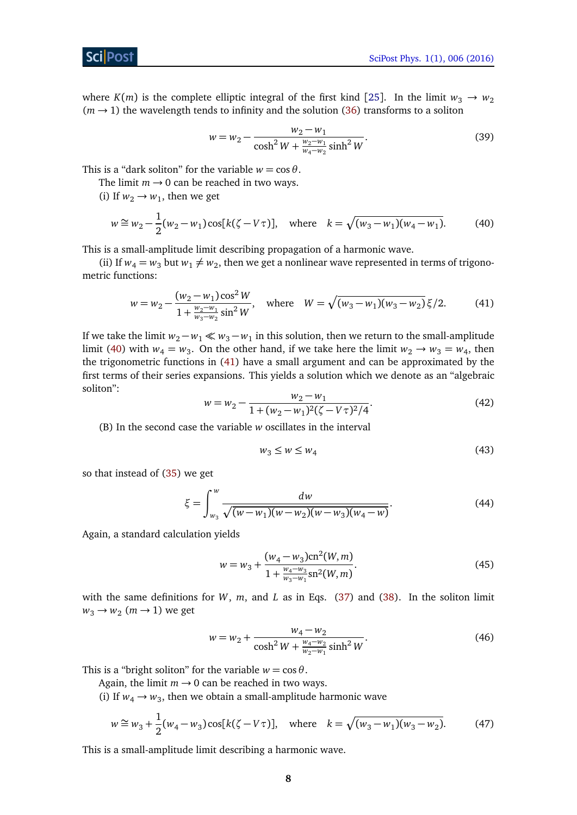where *K*(*m*) is the complete elliptic integral of the first kind [[25](#page-27-13)]. In the limit  $w_3 \rightarrow w_2$  $(m \rightarrow 1)$  the wavelength tends to infinity and the solution [\(36\)](#page-6-3) transforms to a soliton

<span id="page-7-4"></span><span id="page-7-0"></span>
$$
w = w_2 - \frac{w_2 - w_1}{\cosh^2 W + \frac{w_2 - w_1}{w_4 - w_2} \sinh^2 W}.
$$
\n(39)

This is a "dark soliton" for the variable  $w = \cos \theta$ .

The limit  $m \rightarrow 0$  can be reached in two ways.

(i) If  $w_2 \rightarrow w_1$ , then we get

$$
w \cong w_2 - \frac{1}{2}(w_2 - w_1)\cos[k(\zeta - V\tau)], \quad \text{where} \quad k = \sqrt{(w_3 - w_1)(w_4 - w_1)}.
$$
 (40)

This is a small-amplitude limit describing propagation of a harmonic wave.

(ii) If  $w_4 = w_3$  but  $w_1 \neq w_2$ , then we get a nonlinear wave represented in terms of trigonometric functions:

<span id="page-7-1"></span>
$$
w = w_2 - \frac{(w_2 - w_1)\cos^2 W}{1 + \frac{w_2 - w_1}{w_3 - w_2}\sin^2 W}, \quad \text{where} \quad W = \sqrt{(w_3 - w_1)(w_3 - w_2)}\,\xi/2. \tag{41}
$$

If we take the limit  $w_2 - w_1 \ll w_3 - w_1$  in this solution, then we return to the small-amplitude limit [\(40\)](#page-7-0) with  $w_4 = w_3$ . On the other hand, if we take here the limit  $w_2 \rightarrow w_3 = w_4$ , then the trigonometric functions in [\(41\)](#page-7-1) have a small argument and can be approximated by the first terms of their series expansions. This yields a solution which we denote as an "algebraic soliton":

$$
w = w_2 - \frac{w_2 - w_1}{1 + (w_2 - w_1)^2 (\zeta - V\tau)^2 / 4}.
$$
\n(42)

<span id="page-7-5"></span>(B) In the second case the variable *w* oscillates in the interval

$$
w_3 \le w \le w_4 \tag{43}
$$

so that instead of [\(35\)](#page-6-2) we get

$$
\xi = \int_{w_3}^{w} \frac{dw}{\sqrt{(w - w_1)(w - w_2)(w - w_3)(w_4 - w)}}.\tag{44}
$$

Again, a standard calculation yields

$$
w = w_3 + \frac{(w_4 - w_3)\text{cn}^2(W, m)}{1 + \frac{w_4 - w_3}{w_3 - w_1}\text{sn}^2(W, m)}.
$$
\n(45)

with the same definitions for *W*, *m*, and *L* as in Eqs. [\(37\)](#page-6-4) and [\(38\)](#page-6-5). In the soliton limit  $w_3 \rightarrow w_2$  (*m*  $\rightarrow$  1) we get

<span id="page-7-3"></span><span id="page-7-2"></span>
$$
w = w_2 + \frac{w_4 - w_2}{\cosh^2 W + \frac{w_4 - w_2}{w_2 - w_1} \sinh^2 W}.
$$
 (46)

This is a "bright soliton" for the variable  $w = \cos \theta$ .

Again, the limit  $m \rightarrow 0$  can be reached in two ways.

(i) If  $w_4 \rightarrow w_3$ , then we obtain a small-amplitude harmonic wave

$$
w \cong w_3 + \frac{1}{2}(w_4 - w_3)\cos[k(\zeta - V\tau)], \quad \text{where} \quad k = \sqrt{(w_3 - w_1)(w_3 - w_2)}.
$$
 (47)

This is a small-amplitude limit describing a harmonic wave.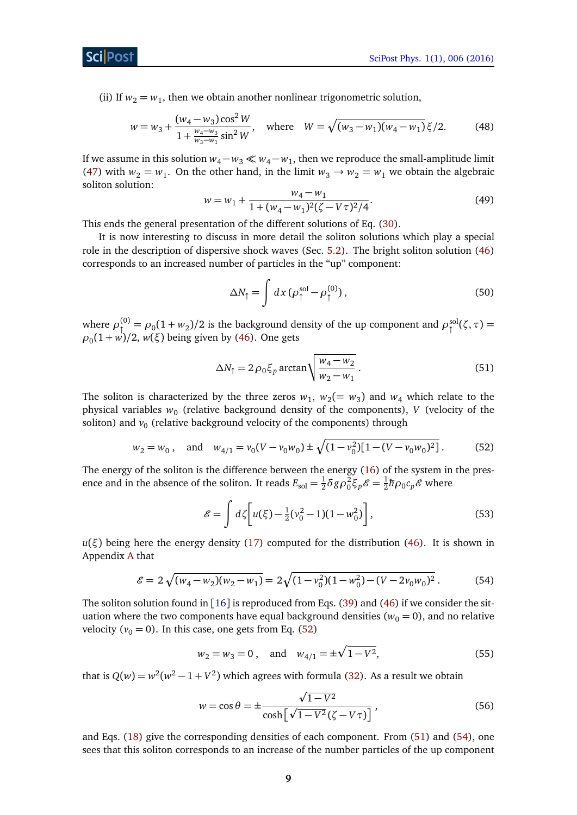ScilPost

(ii) If  $w_2 = w_1$ , then we obtain another nonlinear trigonometric solution,

$$
w = w_3 + \frac{(w_4 - w_3)\cos^2 W}{1 + \frac{w_4 - w_3}{w_3 - w_1}\sin^2 W}, \quad \text{where} \quad W = \sqrt{(w_3 - w_1)(w_4 - w_1)}\,\xi/2. \tag{48}
$$

If we assume in this solution  $w_4 - w_3 \ll w_4 - w_1$ , then we reproduce the small-amplitude limit [\(47\)](#page-7-2) with  $w_2 = w_1$ . On the other hand, in the limit  $w_3 \rightarrow w_2 = w_1$  we obtain the algebraic soliton solution:

<span id="page-8-3"></span>
$$
w = w_1 + \frac{w_4 - w_1}{1 + (w_4 - w_1)^2 (\zeta - V\tau)^2 / 4}.
$$
\n(49)

This ends the general presentation of the different solutions of Eq. [\(30\)](#page-6-1).

It is now interesting to discuss in more detail the soliton solutions which play a special role in the description of dispersive shock waves (Sec. [5.2\)](#page-18-0). The bright soliton solution [\(46\)](#page-7-3) corresponds to an increased number of particles in the "up" component:

<span id="page-8-1"></span>
$$
\Delta N_{\uparrow} = \int dx \, (\rho_{\uparrow}^{\text{sol}} - \rho_{\uparrow}^{\text{(0)}}) \,, \tag{50}
$$

where  $\rho_1^{(0)} = \rho_0 (1 + w_2)/2$  is the background density of the up component and  $\rho_1^{\text{sol}}(\zeta, \tau) =$ *ρ*0 (1 + *w*)*/*2, *w*(*ξ*) being given by [\(46\)](#page-7-3). One gets

<span id="page-8-0"></span>
$$
\Delta N_{\uparrow} = 2 \rho_0 \xi_p \arctan \sqrt{\frac{w_4 - w_2}{w_2 - w_1}}.
$$
\n(51)

The soliton is characterized by the three zeros  $w_1$ ,  $w_2 (= w_3)$  and  $w_4$  which relate to the physical variables  $w_0$  (relative background density of the components),  $V$  (velocity of the soliton) and  $v_0$  (relative background velocity of the components) through

$$
w_2 = w_0
$$
, and  $w_{4/1} = v_0 (V - v_0 w_0) \pm \sqrt{(1 - v_0^2) [1 - (V - v_0 w_0)^2]}$ . (52)

The energy of the soliton is the difference between the energy [\(16\)](#page-4-3) of the system in the presence and in the absence of the soliton. It reads  $E_{\text{sol}} = \frac{1}{2}$  $\frac{1}{2}$ δgρ<sup>2</sup> $\xi$ <sub>p</sub> $\mathcal{E} = \frac{1}{2}$  $\frac{1}{2}\hbar\rho_0 c_p \mathscr{E}$  where

<span id="page-8-4"></span>
$$
\mathcal{E} = \int d\zeta \bigg[ u(\xi) - \frac{1}{2} (\nu_0^2 - 1)(1 - w_0^2) \bigg],\tag{53}
$$

 $u(\xi)$  being here the energy density [\(17\)](#page-4-4) computed for the distribution [\(46\)](#page-7-3). It is shown in Appendix [A](#page-24-0) that

<span id="page-8-2"></span>
$$
\mathcal{E} = 2\sqrt{(w_4 - w_2)(w_2 - w_1)} = 2\sqrt{(1 - v_0^2)(1 - w_0^2) - (V - 2v_0w_0)^2}.
$$
 (54)

The soliton solution found in [[16](#page-27-4)] is reproduced from Eqs. [\(39\)](#page-7-4) and [\(46\)](#page-7-3) if we consider the situation where the two components have equal background densities ( $w_0 = 0$ ), and no relative velocity ( $v_0 = 0$ ). In this case, one gets from Eq. [\(52\)](#page-8-0)

$$
w_2 = w_3 = 0, \text{ and } w_{4/1} = \pm \sqrt{1 - V^2}, \tag{55}
$$

that is  $Q(w) = w^2(w^2 - 1 + V^2)$  which agrees with formula [\(32\)](#page-6-6). As a result we obtain

$$
w = \cos \theta = \pm \frac{\sqrt{1 - V^2}}{\cosh\left[\sqrt{1 - V^2}(\zeta - V\tau)\right]},
$$
\n(56)

and Eqs. [\(18\)](#page-4-0) give the corresponding densities of each component. From [\(51\)](#page-8-1) and [\(54\)](#page-8-2), one sees that this soliton corresponds to an increase of the number particles of the up component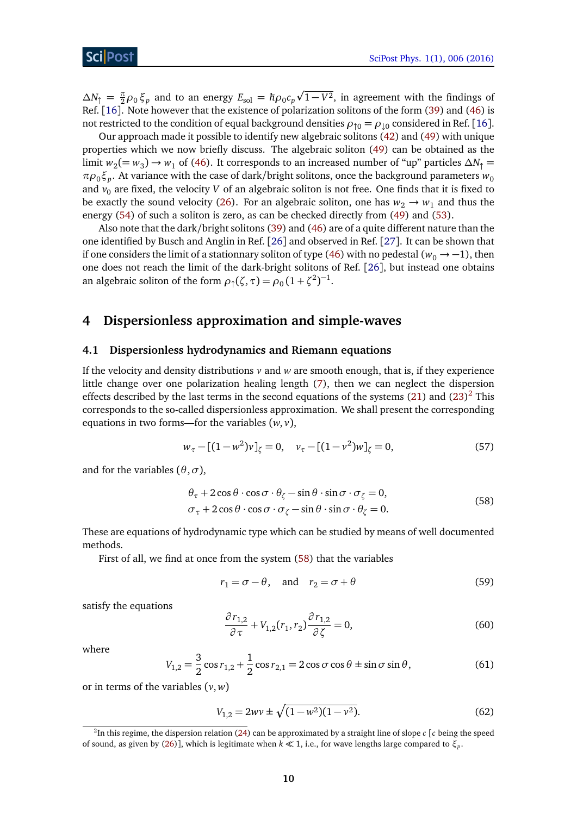$\Delta N_{\uparrow} = \frac{\pi}{2} \rho_0 \xi_p$  and to an energy  $E_{\text{sol}} = \hbar \rho_0 c_p$ p  $\sqrt{1-V^2}$ , in agreement with the findings of Ref. [[16](#page-27-4)]. Note however that the existence of polarization solitons of the form [\(39\)](#page-7-4) and [\(46\)](#page-7-3) is not restricted to the condition of equal background densities  $\rho_{\,\Upsilon\,0} = \rho_{\,\downarrow 0}$  considered in Ref. [[16](#page-27-4)].

Our approach made it possible to identify new algebraic solitons [\(42\)](#page-7-5) and [\(49\)](#page-8-3) with unique properties which we now briefly discuss. The algebraic soliton [\(49\)](#page-8-3) can be obtained as the limit  $w_2 (= w_3) \rightarrow w_1$  of [\(46\)](#page-7-3). It corresponds to an increased number of "up" particles  $\Delta N_\uparrow$  $\pi\rho_0\xi_p.$  At variance with the case of dark/bright solitons, once the background parameters  $w_0$ and  $v_0$  are fixed, the velocity *V* of an algebraic soliton is not free. One finds that it is fixed to be exactly the sound velocity [\(26\)](#page-5-3). For an algebraic soliton, one has  $w_2 \rightarrow w_1$  and thus the energy [\(54\)](#page-8-2) of such a soliton is zero, as can be checked directly from [\(49\)](#page-8-3) and [\(53\)](#page-8-4).

Also note that the dark/bright solitons [\(39\)](#page-7-4) and [\(46\)](#page-7-3) are of a quite different nature than the one identified by Busch and Anglin in Ref. [[26](#page-27-14)] and observed in Ref. [[27](#page-27-15)]. It can be shown that if one considers the limit of a stationnary soliton of type [\(46\)](#page-7-3) with no pedestal ( $w_0 \rightarrow -1$ ), then one does not reach the limit of the dark-bright solitons of Ref. [[26](#page-27-14)], but instead one obtains an algebraic soliton of the form  $\rho_1(\zeta, \tau) = \rho_0 (1 + \zeta^2)^{-1}$ .

## <span id="page-9-0"></span>**4 Dispersionless approximation and simple-waves**

#### <span id="page-9-1"></span>**4.1 Dispersionless hydrodynamics and Riemann equations**

If the velocity and density distributions  $v$  and  $w$  are smooth enough, that is, if they experience little change over one polarization healing length [\(7\)](#page-3-0), then we can neglect the dispersion effects described by the last terms in the second equations of the systems [\(21\)](#page-4-5) and [\(23\)](#page-5-4)<sup>[2](#page-9-2)</sup> This corresponds to the so-called dispersionless approximation. We shall present the corresponding equations in two forms—for the variables (*w*, *v*),

<span id="page-9-6"></span><span id="page-9-3"></span>
$$
w_{\tau} - [(1 - w^2)v]_{\zeta} = 0, \quad v_{\tau} - [(1 - v^2)w]_{\zeta} = 0,
$$
\n(57)

and for the variables  $(\theta, \sigma)$ ,

$$
\theta_{\tau} + 2\cos\theta \cdot \cos\sigma \cdot \theta_{\zeta} - \sin\theta \cdot \sin\sigma \cdot \sigma_{\zeta} = 0,\n\sigma_{\tau} + 2\cos\theta \cdot \cos\sigma \cdot \sigma_{\zeta} - \sin\theta \cdot \sin\sigma \cdot \theta_{\zeta} = 0.
$$
\n(58)

These are equations of hydrodynamic type which can be studied by means of well documented methods.

First of all, we find at once from the system [\(58\)](#page-9-3) that the variables

<span id="page-9-5"></span><span id="page-9-4"></span>
$$
r_1 = \sigma - \theta, \quad \text{and} \quad r_2 = \sigma + \theta \tag{59}
$$

satisfy the equations

$$
\frac{\partial r_{1,2}}{\partial \tau} + V_{1,2}(r_1, r_2) \frac{\partial r_{1,2}}{\partial \zeta} = 0,
$$
\n(60)

where

$$
V_{1,2} = \frac{3}{2}\cos r_{1,2} + \frac{1}{2}\cos r_{2,1} = 2\cos\sigma\cos\theta \pm \sin\sigma\sin\theta,
$$
 (61)

or in terms of the variables (*v*, *w*)

$$
V_{1,2} = 2w\nu \pm \sqrt{(1 - w^2)(1 - \nu^2)}.
$$
 (62)

<span id="page-9-2"></span> $^2$ In this regime, the dispersion relation [\(24\)](#page-5-1) can be approximated by a straight line of slope  $c$  [ $c$  being the speed of sound, as given by [\(26\)](#page-5-3)], which is legitimate when *k* 1, i.e., for wave lengths large compared to *ξ<sup>p</sup>* .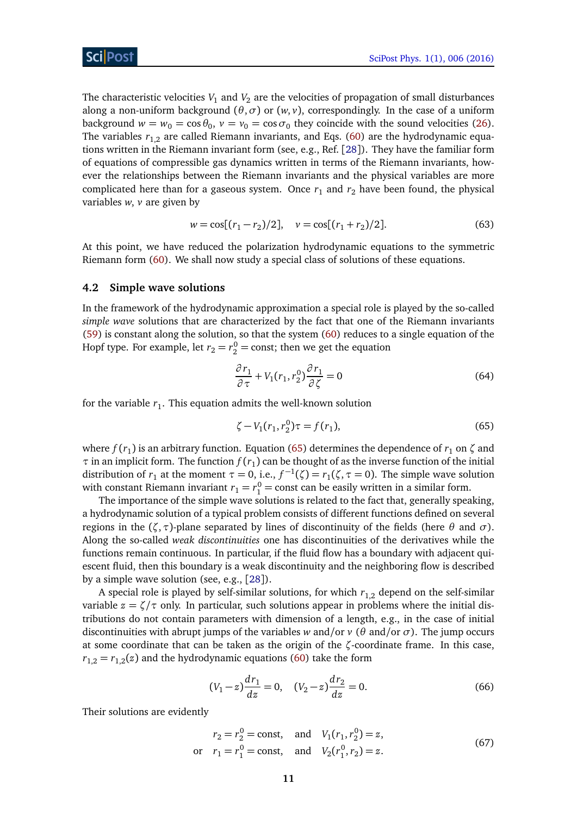The characteristic velocities  $V_1$  and  $V_2$  are the velocities of propagation of small disturbances along a non-uniform background (*θ*,*σ*) or (*w*, *v*), correspondingly. In the case of a uniform background  $w = w_0 = \cos \theta_0$ ,  $v = v_0 = \cos \sigma_0$  they coincide with the sound velocities [\(26\)](#page-5-3). The variables  $r_{1,2}$  are called Riemann invariants, and Eqs. [\(60\)](#page-9-4) are the hydrodynamic equations written in the Riemann invariant form (see, e.g., Ref. [[28](#page-28-0)]). They have the familiar form of equations of compressible gas dynamics written in terms of the Riemann invariants, however the relationships between the Riemann invariants and the physical variables are more complicated here than for a gaseous system. Once  $r_1$  and  $r_2$  have been found, the physical variables *w*, *v* are given by

$$
w = \cos[(r_1 - r_2)/2], \quad v = \cos[(r_1 + r_2)/2].
$$
 (63)

At this point, we have reduced the polarization hydrodynamic equations to the symmetric Riemann form [\(60\)](#page-9-4). We shall now study a special class of solutions of these equations.

#### <span id="page-10-0"></span>**4.2 Simple wave solutions**

In the framework of the hydrodynamic approximation a special role is played by the so-called *simple wave* solutions that are characterized by the fact that one of the Riemann invariants [\(59\)](#page-9-5) is constant along the solution, so that the system [\(60\)](#page-9-4) reduces to a single equation of the Hopf type. For example, let  $r_2 = r_2^0 = \text{const}$ ; then we get the equation

$$
\frac{\partial r_1}{\partial \tau} + V_1(r_1, r_2^0) \frac{\partial r_1}{\partial \zeta} = 0 \tag{64}
$$

for the variable  $r_1$ . This equation admits the well-known solution

<span id="page-10-1"></span>
$$
\zeta - V_1(r_1, r_2^0)\tau = f(r_1),\tag{65}
$$

where  $f(r_1)$  is an arbitrary function. Equation [\(65\)](#page-10-1) determines the dependence of  $r_1$  on  $\zeta$  and  $\tau$  in an implicit form. The function  $f(r_1)$  can be thought of as the inverse function of the initial distribution of  $r_1$  at the moment  $\tau = 0$ , i.e.,  $f^{-1}(\zeta) = r_1(\zeta, \tau = 0)$ . The simple wave solution with constant Riemann invariant  $r_1 = r_1^0 = \text{const}$  can be easily written in a similar form.

The importance of the simple wave solutions is related to the fact that, generally speaking, a hydrodynamic solution of a typical problem consists of different functions defined on several regions in the (*ζ*,*τ*)-plane separated by lines of discontinuity of the fields (here *θ* and *σ*). Along the so-called *weak discontinuities* one has discontinuities of the derivatives while the functions remain continuous. In particular, if the fluid flow has a boundary with adjacent quiescent fluid, then this boundary is a weak discontinuity and the neighboring flow is described by a simple wave solution (see, e.g., [[28](#page-28-0)]).

A special role is played by self-similar solutions, for which  $r_{1,2}$  depend on the self-similar variable  $z = \zeta/\tau$  only. In particular, such solutions appear in problems where the initial distributions do not contain parameters with dimension of a length, e.g., in the case of initial discontinuities with abrupt jumps of the variables *w* and/or *v* ( $\theta$  and/or  $\sigma$ ). The jump occurs at some coordinate that can be taken as the origin of the *ζ*-coordinate frame. In this case,  $r_{1,2} = r_{1,2}(z)$  and the hydrodynamic equations [\(60\)](#page-9-4) take the form

<span id="page-10-2"></span>
$$
(V_1 - z)\frac{dr_1}{dz} = 0, \quad (V_2 - z)\frac{dr_2}{dz} = 0.
$$
\n(66)

Their solutions are evidently

$$
r_2 = r_2^0 = \text{const}, \text{ and } V_1(r_1, r_2^0) = z,
$$
  
or  $r_1 = r_1^0 = \text{const}, \text{ and } V_2(r_1^0, r_2) = z.$  (67)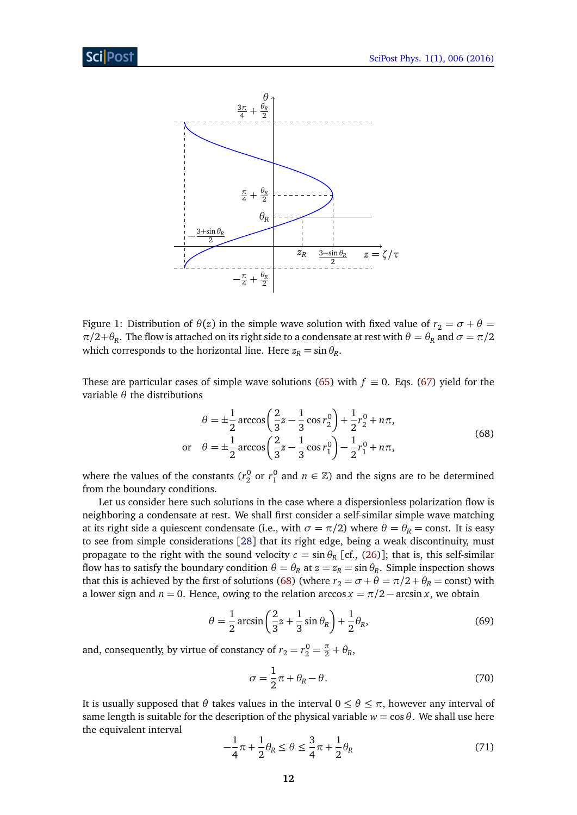

<span id="page-11-3"></span>Figure 1: Distribution of  $\theta(z)$  in the simple wave solution with fixed value of  $r_2 = \sigma + \theta =$  $\pi/2+\theta_R$ . The flow is attached on its right side to a condensate at rest with  $\theta=\theta_R$  and  $\sigma=\pi/2$ which corresponds to the horizontal line. Here  $z_R = \sin \theta_R$ .

These are particular cases of simple wave solutions [\(65\)](#page-10-1) with  $f \equiv 0$ . Eqs. [\(67\)](#page-10-2) yield for the variable *θ* the distributions

<span id="page-11-0"></span>
$$
\theta = \pm \frac{1}{2} \arccos\left(\frac{2}{3}z - \frac{1}{3}\cos r_2^0\right) + \frac{1}{2}r_2^0 + n\pi,
$$
  
or 
$$
\theta = \pm \frac{1}{2} \arccos\left(\frac{2}{3}z - \frac{1}{3}\cos r_1^0\right) - \frac{1}{2}r_1^0 + n\pi,
$$
 (68)

where the values of the constants ( $r_2^0$  or  $r_1^0$  and  $n \in \mathbb{Z}$ ) and the signs are to be determined from the boundary conditions.

Let us consider here such solutions in the case where a dispersionless polarization flow is neighboring a condensate at rest. We shall first consider a self-similar simple wave matching at its right side a quiescent condensate (i.e., with  $\sigma = \pi/2$ ) where  $\theta = \theta_R = \text{const.}$  It is easy to see from simple considerations [[28](#page-28-0)] that its right edge, being a weak discontinuity, must propagate to the right with the sound velocity  $c = \sin \theta_R$  [cf., [\(26\)](#page-5-3)]; that is, this self-similar flow has to satisfy the boundary condition  $\theta = \theta_R$  at  $z = z_R = \sin \theta_R$ . Simple inspection shows that this is achieved by the first of solutions [\(68\)](#page-11-0) (where  $r_2 = \sigma + \theta = \pi/2 + \theta_R = \text{const}$ ) with a lower sign and  $n = 0$ . Hence, owing to the relation arccos  $x = \pi/2 - \arcsin x$ , we obtain

$$
\theta = \frac{1}{2}\arcsin\left(\frac{2}{3}z + \frac{1}{3}\sin\theta_R\right) + \frac{1}{2}\theta_R,\tag{69}
$$

and, consequently, by virtue of constancy of  $r_2 = r_2^0 = \frac{\pi}{2} + \theta_R$ ,

<span id="page-11-1"></span>
$$
\sigma = \frac{1}{2}\pi + \theta_R - \theta. \tag{70}
$$

It is usually supposed that  $\theta$  takes values in the interval  $0 \le \theta \le \pi$ , however any interval of same length is suitable for the description of the physical variable  $w = \cos \theta$ . We shall use here the equivalent interval

<span id="page-11-2"></span>
$$
-\frac{1}{4}\pi + \frac{1}{2}\theta_R \le \theta \le \frac{3}{4}\pi + \frac{1}{2}\theta_R
$$
\n(71)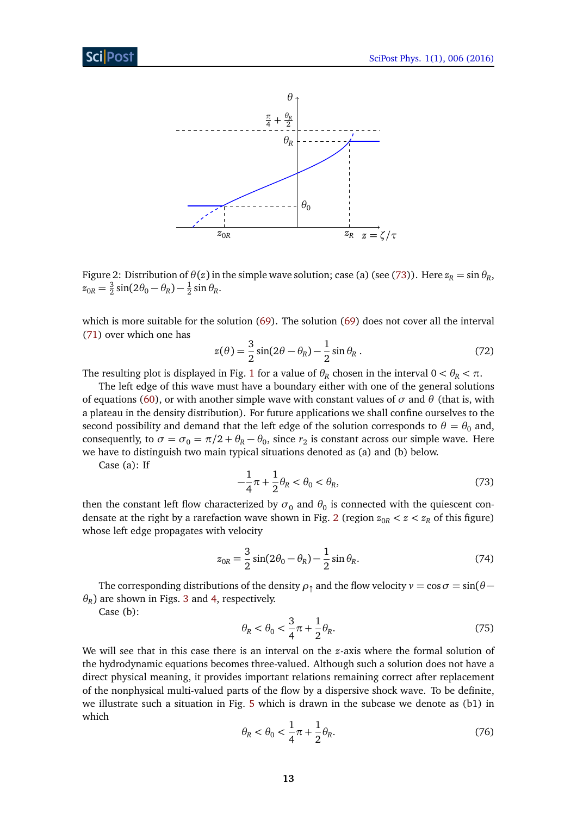

<span id="page-12-1"></span>Figure 2: Distribution of  $\theta(z)$  in the simple wave solution; case (a) (see [\(73\)](#page-12-0)). Here  $z_R = \sin \theta_R$ ,  $z_{0R} = \frac{3}{2}$  $\frac{3}{2}\sin(2\theta_0 - \theta_R) - \frac{1}{2}$  $rac{1}{2}$  sin  $\theta_R$ .

which is more suitable for the solution [\(69\)](#page-11-1). The solution [\(69\)](#page-11-1) does not cover all the interval [\(71\)](#page-11-2) over which one has

<span id="page-12-3"></span>
$$
z(\theta) = \frac{3}{2}\sin(2\theta - \theta_R) - \frac{1}{2}\sin\theta_R.
$$
 (72)

The resulting plot is displayed in Fig. [1](#page-11-3) for a value of  $\theta_R$  chosen in the interval  $0 < \theta_R < \pi$ .

The left edge of this wave must have a boundary either with one of the general solutions of equations [\(60\)](#page-9-4), or with another simple wave with constant values of  $\sigma$  and  $\theta$  (that is, with a plateau in the density distribution). For future applications we shall confine ourselves to the second possibility and demand that the left edge of the solution corresponds to  $\theta = \theta_0$  and, consequently, to  $\sigma = \sigma_0 = \pi/2 + \theta_R - \theta_0$ , since  $r_2$  is constant across our simple wave. Here we have to distinguish two main typical situations denoted as (a) and (b) below.

<span id="page-12-0"></span>Case (a): If

$$
-\frac{1}{4}\pi + \frac{1}{2}\theta_R < \theta_0 < \theta_R,\tag{73}
$$

then the constant left flow characterized by  $\sigma_0$  and  $\theta_0$  is connected with the quiescent con-densate at the right by a rarefaction wave shown in Fig. [2](#page-12-1) (region  $z_{0R} < z < z_R$  of this figure) whose left edge propagates with velocity

<span id="page-12-4"></span>
$$
z_{0R} = \frac{3}{2}\sin(2\theta_0 - \theta_R) - \frac{1}{2}\sin\theta_R.
$$
 (74)

The corresponding distributions of the density  $\rho_{\uparrow}$  and the flow velocity  $v = \cos \sigma = \sin(\theta - \sigma)$  $\theta_R$ ) are shown in Figs. [3](#page-13-0) and [4,](#page-13-1) respectively.

Case (b):

$$
\theta_R < \theta_0 < \frac{3}{4}\pi + \frac{1}{2}\theta_R. \tag{75}
$$

<span id="page-12-2"></span>We will see that in this case there is an interval on the *z*-axis where the formal solution of the hydrodynamic equations becomes three-valued. Although such a solution does not have a direct physical meaning, it provides important relations remaining correct after replacement of the nonphysical multi-valued parts of the flow by a dispersive shock wave. To be definite, we illustrate such a situation in Fig. [5](#page-14-0) which is drawn in the subcase we denote as (b1) in which

$$
\theta_R < \theta_0 < \frac{1}{4}\pi + \frac{1}{2}\theta_R. \tag{76}
$$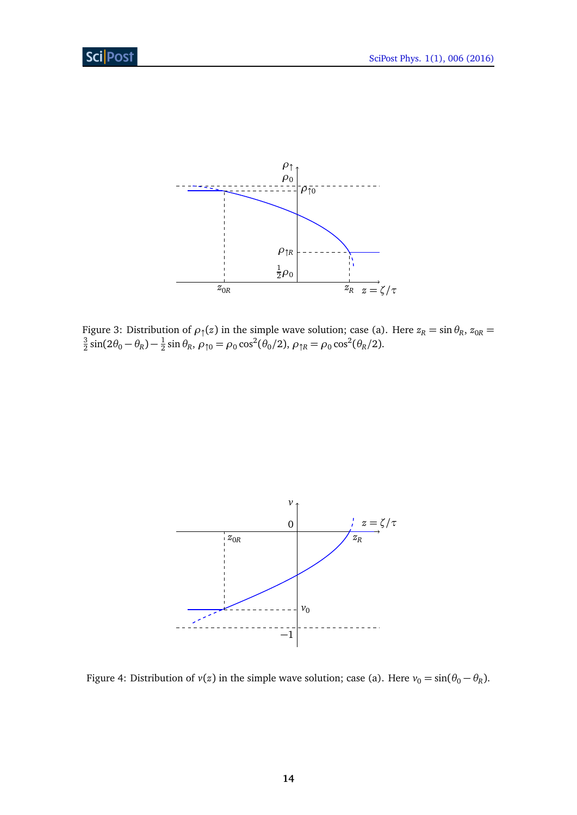

<span id="page-13-0"></span>Figure 3: Distribution of  $\rho_1(z)$  in the simple wave solution; case (a). Here  $z_R = \sin \theta_R$ ,  $z_{0R} = \frac{3}{2} \sin(2\theta - \theta) - \frac{1}{2} \sin \theta$ ,  $z_R = \cos^2(\theta/2)$ ,  $z_R = \cos^2(\theta/2)$  $\frac{3}{2}\sin(2\theta_0 - \theta_R) - \frac{1}{2}$  $\frac{1}{2}$  sin  $\theta_R$ ,  $\rho_{\uparrow 0} = \rho_0 \cos^2(\theta_0/2)$ ,  $\rho_{\uparrow R} = \rho_0 \cos^2(\theta_R/2)$ .



<span id="page-13-1"></span>Figure 4: Distribution of  $v(z)$  in the simple wave solution; case (a). Here  $v_0 = \sin(\theta_0 - \theta_R)$ .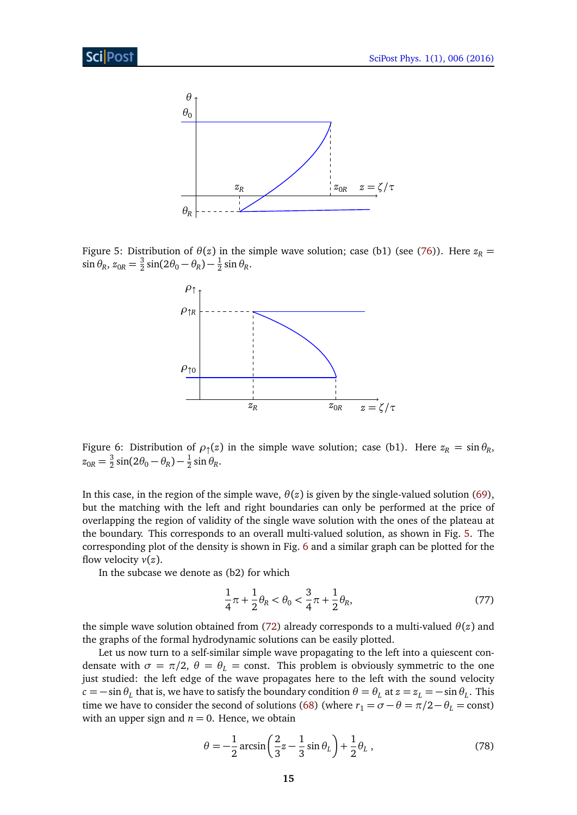

<span id="page-14-0"></span>Figure 5: Distribution of  $\theta(z)$  in the simple wave solution; case (b1) (see [\(76\)](#page-12-2)). Here  $z_R$  $\sin \theta_R$ ,  $z_{0R} = \frac{3}{2}$  $\frac{3}{2}\sin(2\theta_0 - \theta_R) - \frac{1}{2}$  $rac{1}{2}$  sin  $\theta_R$ .



<span id="page-14-1"></span>Figure 6: Distribution of  $\rho_{\uparrow}(z)$  in the simple wave solution; case (b1). Here  $z_R = \sin \theta_R$ ,  $z_{0R} = \frac{3}{2}$  $\frac{3}{2}\sin(2\theta_0 - \theta_R) - \frac{1}{2}$  $rac{1}{2}$  sin  $\theta_R$ .

In this case, in the region of the simple wave,  $\theta(z)$  is given by the single-valued solution [\(69\)](#page-11-1), but the matching with the left and right boundaries can only be performed at the price of overlapping the region of validity of the single wave solution with the ones of the plateau at the boundary. This corresponds to an overall multi-valued solution, as shown in Fig. [5.](#page-14-0) The corresponding plot of the density is shown in Fig. [6](#page-14-1) and a similar graph can be plotted for the flow velocity *v*(*z*).

In the subcase we denote as (b2) for which

$$
\frac{1}{4}\pi + \frac{1}{2}\theta_R < \theta_0 < \frac{3}{4}\pi + \frac{1}{2}\theta_R,\tag{77}
$$

the simple wave solution obtained from [\(72\)](#page-12-3) already corresponds to a multi-valued  $\theta(z)$  and the graphs of the formal hydrodynamic solutions can be easily plotted.

Let us now turn to a self-similar simple wave propagating to the left into a quiescent condensate with  $\sigma = \pi/2$ ,  $\theta = \theta_L$  = const. This problem is obviously symmetric to the one just studied: the left edge of the wave propagates here to the left with the sound velocity  $c = -\sin\theta_L$  that is, we have to satisfy the boundary condition  $\theta = \theta_L$  at  $z = z_L = -\sin\theta_L$ . This time we have to consider the second of solutions [\(68\)](#page-11-0) (where  $r_1 = \sigma - \theta = \pi/2 - \theta_L = \text{const}$ ) with an upper sign and  $n = 0$ . Hence, we obtain

$$
\theta = -\frac{1}{2}\arcsin\left(\frac{2}{3}z - \frac{1}{3}\sin\theta_L\right) + \frac{1}{2}\theta_L\,,\tag{78}
$$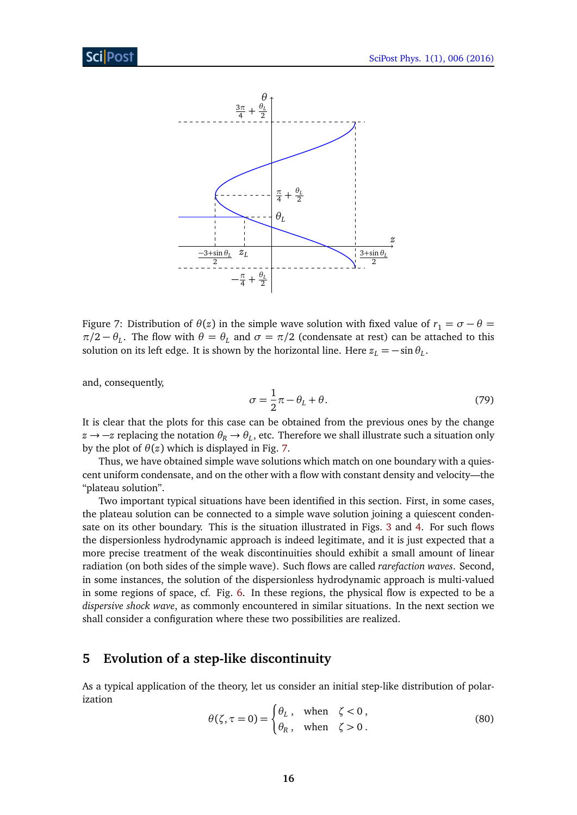

<span id="page-15-1"></span>Figure 7: Distribution of  $\theta(z)$  in the simple wave solution with fixed value of  $r_1 = \sigma - \theta =$  $\pi/2 - \theta_L$ . The flow with  $\theta = \theta_L$  and  $\sigma = \pi/2$  (condensate at rest) can be attached to this solution on its left edge. It is shown by the horizontal line. Here  $z_L = -\sin\theta_L$ .

and, consequently,

$$
\sigma = \frac{1}{2}\pi - \theta_L + \theta. \tag{79}
$$

It is clear that the plots for this case can be obtained from the previous ones by the change *z* →  $-$ *z* replacing the notation  $θ$ <sup>*R*</sup> →  $θ$ *L*, etc. Therefore we shall illustrate such a situation only by the plot of  $\theta(z)$  which is displayed in Fig. [7.](#page-15-1)

Thus, we have obtained simple wave solutions which match on one boundary with a quiescent uniform condensate, and on the other with a flow with constant density and velocity—the "plateau solution".

Two important typical situations have been identified in this section. First, in some cases, the plateau solution can be connected to a simple wave solution joining a quiescent condensate on its other boundary. This is the situation illustrated in Figs. [3](#page-13-0) and [4.](#page-13-1) For such flows the dispersionless hydrodynamic approach is indeed legitimate, and it is just expected that a more precise treatment of the weak discontinuities should exhibit a small amount of linear radiation (on both sides of the simple wave). Such flows are called *rarefaction waves*. Second, in some instances, the solution of the dispersionless hydrodynamic approach is multi-valued in some regions of space, cf. Fig. [6.](#page-14-1) In these regions, the physical flow is expected to be a *dispersive shock wave*, as commonly encountered in similar situations. In the next section we shall consider a configuration where these two possibilities are realized.

# <span id="page-15-0"></span>**5 Evolution of a step-like discontinuity**

<span id="page-15-2"></span>As a typical application of the theory, let us consider an initial step-like distribution of polarization

$$
\theta(\zeta, \tau = 0) = \begin{cases} \theta_L, & \text{when } \zeta < 0, \\ \theta_R, & \text{when } \zeta > 0. \end{cases}
$$
 (80)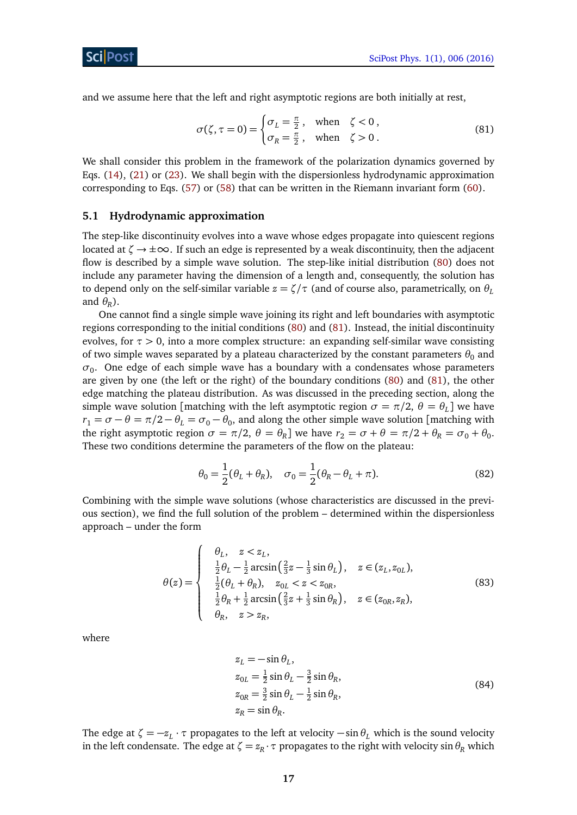and we assume here that the left and right asymptotic regions are both initially at rest,

<span id="page-16-1"></span>
$$
\sigma(\zeta, \tau = 0) = \begin{cases} \sigma_L = \frac{\pi}{2}, & \text{when } \zeta < 0 \\ \sigma_R = \frac{\pi}{2}, & \text{when } \zeta > 0 \end{cases} \tag{81}
$$

We shall consider this problem in the framework of the polarization dynamics governed by Eqs. [\(14\)](#page-3-5), [\(21\)](#page-4-5) or [\(23\)](#page-5-4). We shall begin with the dispersionless hydrodynamic approximation corresponding to Eqs. [\(57\)](#page-9-6) or [\(58\)](#page-9-3) that can be written in the Riemann invariant form [\(60\)](#page-9-4).

#### <span id="page-16-0"></span>**5.1 Hydrodynamic approximation**

The step-like discontinuity evolves into a wave whose edges propagate into quiescent regions located at  $\zeta \to \pm \infty$ . If such an edge is represented by a weak discontinuity, then the adjacent flow is described by a simple wave solution. The step-like initial distribution [\(80\)](#page-15-2) does not include any parameter having the dimension of a length and, consequently, the solution has to depend only on the self-similar variable  $z = \zeta/\tau$  (and of course also, parametrically, on  $\theta_L$ and  $\theta_R$ ).

One cannot find a single simple wave joining its right and left boundaries with asymptotic regions corresponding to the initial conditions [\(80\)](#page-15-2) and [\(81\)](#page-16-1). Instead, the initial discontinuity evolves, for *τ >* 0, into a more complex structure: an expanding self-similar wave consisting of two simple waves separated by a plateau characterized by the constant parameters  $\theta_0$  and  $\sigma_0$ . One edge of each simple wave has a boundary with a condensates whose parameters are given by one (the left or the right) of the boundary conditions [\(80\)](#page-15-2) and [\(81\)](#page-16-1), the other edge matching the plateau distribution. As was discussed in the preceding section, along the simple wave solution [matching with the left asymptotic region  $\sigma = \pi/2$ ,  $\theta = \theta_L$ ] we have  $r_1 = \sigma - \theta = \pi/2 - \theta_L = \sigma_0 - \theta_0$ , and along the other simple wave solution [matching with the right asymptotic region  $\sigma = \pi/2$ ,  $\theta = \theta_R$ ] we have  $r_2 = \sigma + \theta = \pi/2 + \theta_R = \sigma_0 + \theta_0$ . These two conditions determine the parameters of the flow on the plateau:

<span id="page-16-2"></span>
$$
\theta_0 = \frac{1}{2}(\theta_L + \theta_R), \quad \sigma_0 = \frac{1}{2}(\theta_R - \theta_L + \pi). \tag{82}
$$

Combining with the simple wave solutions (whose characteristics are discussed in the previous section), we find the full solution of the problem – determined within the dispersionless approach – under the form

<span id="page-16-3"></span>
$$
\theta(z) = \begin{cases}\n\theta_L, & z < z_L, \\
\frac{1}{2}\theta_L - \frac{1}{2}\arcsin\left(\frac{2}{3}z - \frac{1}{3}\sin\theta_L\right), & z \in (z_L, z_{0L}), \\
\frac{1}{2}(\theta_L + \theta_R), & z_{0L} < z < z_{0R}, \\
\frac{1}{2}\theta_R + \frac{1}{2}\arcsin\left(\frac{2}{3}z + \frac{1}{3}\sin\theta_R\right), & z \in (z_{0R}, z_R), \\
\theta_R, & z > z_R,\n\end{cases}
$$
\n(83)

where

$$
z_L = -\sin \theta_L,
$$
  
\n
$$
z_{0L} = \frac{1}{2} \sin \theta_L - \frac{3}{2} \sin \theta_R,
$$
  
\n
$$
z_{0R} = \frac{3}{2} \sin \theta_L - \frac{1}{2} \sin \theta_R,
$$
  
\n
$$
z_R = \sin \theta_R.
$$
\n(84)

The edge at  $\zeta = -z_L \cdot \tau$  propagates to the left at velocity  $-\sin \theta_L$  which is the sound velocity in the left condensate. The edge at  $\zeta = z_R \cdot \tau$  propagates to the right with velocity sin  $\theta_R$  which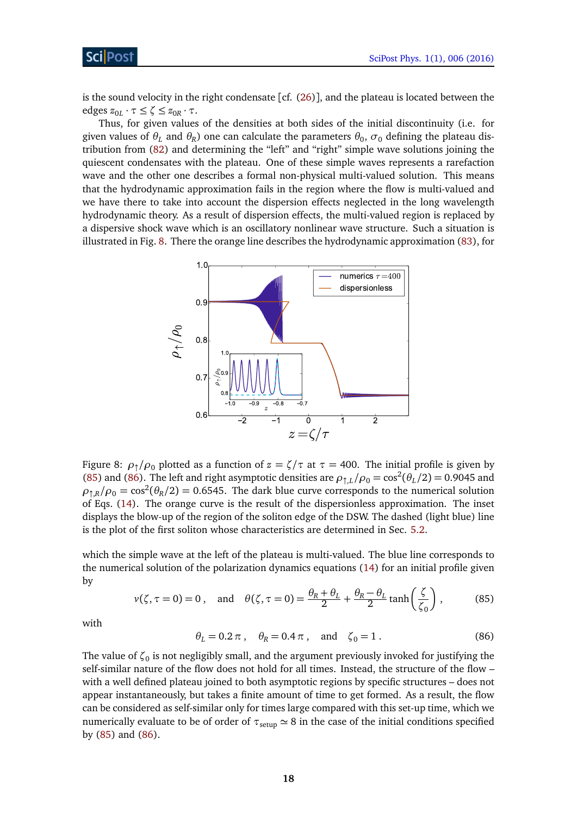is the sound velocity in the right condensate  $[cf. (26)]$  $[cf. (26)]$  $[cf. (26)]$ , and the plateau is located between the  $\text{edges } z_{0L} \cdot \tau \leq \zeta \leq z_{0R} \cdot \tau.$ 

Thus, for given values of the densities at both sides of the initial discontinuity (i.e. for given values of  $\theta_L$  and  $\theta_R$ ) one can calculate the parameters  $\theta_0$ ,  $\sigma_0$  defining the plateau distribution from [\(82\)](#page-16-2) and determining the "left" and "right" simple wave solutions joining the quiescent condensates with the plateau. One of these simple waves represents a rarefaction wave and the other one describes a formal non-physical multi-valued solution. This means that the hydrodynamic approximation fails in the region where the flow is multi-valued and we have there to take into account the dispersion effects neglected in the long wavelength hydrodynamic theory. As a result of dispersion effects, the multi-valued region is replaced by a dispersive shock wave which is an oscillatory nonlinear wave structure. Such a situation is illustrated in Fig. [8.](#page-17-0) There the orange line describes the hydrodynamic approximation [\(83\)](#page-16-3), for



<span id="page-17-0"></span>Figure 8:  $\rho_1/\rho_0$  plotted as a function of  $z = \zeta/\tau$  at  $\tau = 400$ . The initial profile is given by [\(85\)](#page-17-1) and [\(86\)](#page-17-2). The left and right asymptotic densities are  $\rho_{\uparrow,L}/\rho_0 = \cos^2(\theta_L/2) = 0.9045$  and  $\rho_{\uparrow,R}/\rho_0 = \cos^2(\theta_R/2) = 0.6545$ . The dark blue curve corresponds to the numerical solution of Eqs. [\(14\)](#page-3-5). The orange curve is the result of the dispersionless approximation. The inset displays the blow-up of the region of the soliton edge of the DSW. The dashed (light blue) line is the plot of the first soliton whose characteristics are determined in Sec. [5.2.](#page-18-0)

<span id="page-17-1"></span>which the simple wave at the left of the plateau is multi-valued. The blue line corresponds to the numerical solution of the polarization dynamics equations [\(14\)](#page-3-5) for an initial profile given by

$$
v(\zeta, \tau = 0) = 0, \quad \text{and} \quad \theta(\zeta, \tau = 0) = \frac{\theta_R + \theta_L}{2} + \frac{\theta_R - \theta_L}{2} \tanh\left(\frac{\zeta}{\zeta_0}\right),\tag{85}
$$

<span id="page-17-2"></span>with

$$
\theta_L = 0.2 \pi
$$
,  $\theta_R = 0.4 \pi$ , and  $\zeta_0 = 1$ . (86)

The value of  $\zeta_0$  is not negligibly small, and the argument previously invoked for justifying the self-similar nature of the flow does not hold for all times. Instead, the structure of the flow – with a well defined plateau joined to both asymptotic regions by specific structures – does not appear instantaneously, but takes a finite amount of time to get formed. As a result, the flow can be considered as self-similar only for times large compared with this set-up time, which we numerically evaluate to be of order of  $\tau_{\text{setup}} \simeq 8$  in the case of the initial conditions specified by [\(85\)](#page-17-1) and [\(86\)](#page-17-2).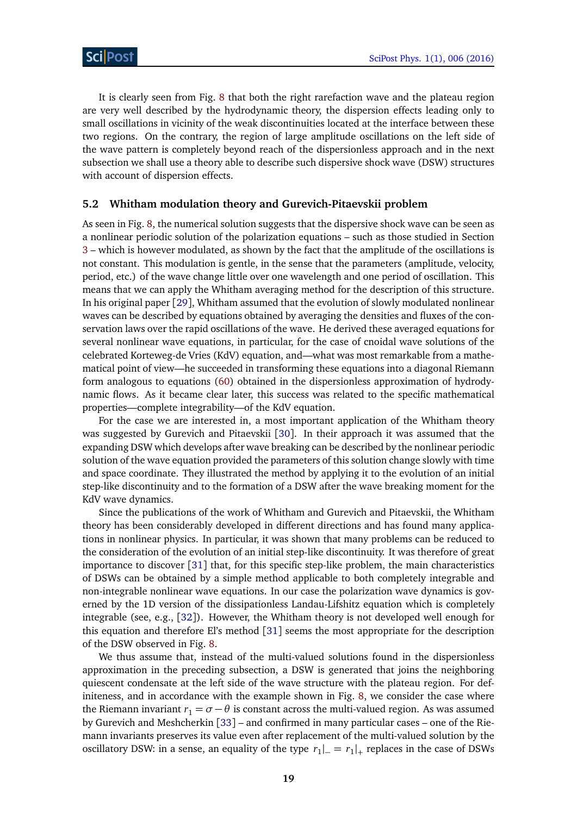It is clearly seen from Fig. [8](#page-17-0) that both the right rarefaction wave and the plateau region are very well described by the hydrodynamic theory, the dispersion effects leading only to small oscillations in vicinity of the weak discontinuities located at the interface between these two regions. On the contrary, the region of large amplitude oscillations on the left side of the wave pattern is completely beyond reach of the dispersionless approach and in the next subsection we shall use a theory able to describe such dispersive shock wave (DSW) structures with account of dispersion effects.

#### <span id="page-18-0"></span>**5.2 Whitham modulation theory and Gurevich-Pitaevskii problem**

As seen in Fig. [8,](#page-17-0) the numerical solution suggests that the dispersive shock wave can be seen as a nonlinear periodic solution of the polarization equations – such as those studied in Section [3](#page-5-0) – which is however modulated, as shown by the fact that the amplitude of the oscillations is not constant. This modulation is gentle, in the sense that the parameters (amplitude, velocity, period, etc.) of the wave change little over one wavelength and one period of oscillation. This means that we can apply the Whitham averaging method for the description of this structure. In his original paper [[29](#page-28-1)], Whitham assumed that the evolution of slowly modulated nonlinear waves can be described by equations obtained by averaging the densities and fluxes of the conservation laws over the rapid oscillations of the wave. He derived these averaged equations for several nonlinear wave equations, in particular, for the case of cnoidal wave solutions of the celebrated Korteweg-de Vries (KdV) equation, and—what was most remarkable from a mathematical point of view—he succeeded in transforming these equations into a diagonal Riemann form analogous to equations [\(60\)](#page-9-4) obtained in the dispersionless approximation of hydrodynamic flows. As it became clear later, this success was related to the specific mathematical properties—complete integrability—of the KdV equation.

For the case we are interested in, a most important application of the Whitham theory was suggested by Gurevich and Pitaevskii [[30](#page-28-2)]. In their approach it was assumed that the expanding DSW which develops after wave breaking can be described by the nonlinear periodic solution of the wave equation provided the parameters of this solution change slowly with time and space coordinate. They illustrated the method by applying it to the evolution of an initial step-like discontinuity and to the formation of a DSW after the wave breaking moment for the KdV wave dynamics.

Since the publications of the work of Whitham and Gurevich and Pitaevskii, the Whitham theory has been considerably developed in different directions and has found many applications in nonlinear physics. In particular, it was shown that many problems can be reduced to the consideration of the evolution of an initial step-like discontinuity. It was therefore of great importance to discover [[31](#page-28-3)] that, for this specific step-like problem, the main characteristics of DSWs can be obtained by a simple method applicable to both completely integrable and non-integrable nonlinear wave equations. In our case the polarization wave dynamics is governed by the 1D version of the dissipationless Landau-Lifshitz equation which is completely integrable (see, e.g., [[32](#page-28-4)]). However, the Whitham theory is not developed well enough for this equation and therefore El's method [[31](#page-28-3)] seems the most appropriate for the description of the DSW observed in Fig. [8.](#page-17-0)

We thus assume that, instead of the multi-valued solutions found in the dispersionless approximation in the preceding subsection, a DSW is generated that joins the neighboring quiescent condensate at the left side of the wave structure with the plateau region. For definiteness, and in accordance with the example shown in Fig. [8,](#page-17-0) we consider the case where the Riemann invariant  $r_1 = \sigma - \theta$  is constant across the multi-valued region. As was assumed by Gurevich and Meshcherkin [[33](#page-28-5)] – and confirmed in many particular cases – one of the Riemann invariants preserves its value even after replacement of the multi-valued solution by the oscillatory DSW: in a sense, an equality of the type  $r_1|_{-} = r_1|_{+}$  replaces in the case of DSWs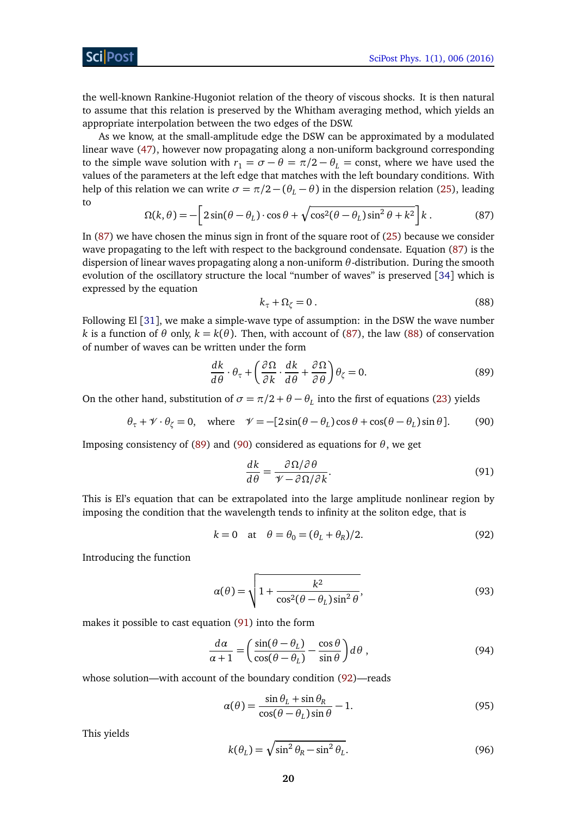the well-known Rankine-Hugoniot relation of the theory of viscous shocks. It is then natural to assume that this relation is preserved by the Whitham averaging method, which yields an appropriate interpolation between the two edges of the DSW.

As we know, at the small-amplitude edge the DSW can be approximated by a modulated linear wave [\(47\)](#page-7-2), however now propagating along a non-uniform background corresponding to the simple wave solution with  $r_1 = \sigma - \theta = \pi/2 - \theta_L$  = const, where we have used the values of the parameters at the left edge that matches with the left boundary conditions. With help of this relation we can write  $\sigma = \pi/2 - (\theta_L - \theta)$  in the dispersion relation [\(25\)](#page-5-2), leading to

$$
\Omega(k,\theta) = -\left[2\sin(\theta - \theta_L)\cdot\cos\theta + \sqrt{\cos^2(\theta - \theta_L)\sin^2\theta + k^2}\right]k.
$$
 (87)

<span id="page-19-0"></span>In [\(87\)](#page-19-0) we have chosen the minus sign in front of the square root of [\(25\)](#page-5-2) because we consider wave propagating to the left with respect to the background condensate. Equation [\(87\)](#page-19-0) is the dispersion of linear waves propagating along a non-uniform *θ*-distribution. During the smooth evolution of the oscillatory structure the local "number of waves" is preserved [[34](#page-28-6)] which is expressed by the equation

<span id="page-19-3"></span><span id="page-19-2"></span><span id="page-19-1"></span>
$$
k_{\tau} + \Omega_{\zeta} = 0. \tag{88}
$$

Following El [[31](#page-28-3)], we make a simple-wave type of assumption: in the DSW the wave number *k* is a function of  $\theta$  only,  $k = k(\theta)$ . Then, with account of [\(87\)](#page-19-0), the law [\(88\)](#page-19-1) of conservation of number of waves can be written under the form

$$
\frac{dk}{d\theta} \cdot \theta_{\tau} + \left(\frac{\partial \Omega}{\partial k} \cdot \frac{dk}{d\theta} + \frac{\partial \Omega}{\partial \theta}\right) \theta_{\zeta} = 0.
$$
\n(89)

On the other hand, substitution of  $\sigma = \pi/2 + \theta - \theta_L$  into the first of equations [\(23\)](#page-5-4) yields

$$
\theta_{\tau} + \mathcal{V} \cdot \theta_{\zeta} = 0
$$
, where  $\mathcal{V} = -[2\sin(\theta - \theta_L)\cos\theta + \cos(\theta - \theta_L)\sin\theta]$ . (90)

Imposing consistency of [\(89\)](#page-19-2) and [\(90\)](#page-19-3) considered as equations for *θ*, we get

<span id="page-19-5"></span><span id="page-19-4"></span>
$$
\frac{dk}{d\theta} = \frac{\partial \Omega/\partial \theta}{\mathcal{V} - \partial \Omega/\partial k}.
$$
\n(91)

This is El's equation that can be extrapolated into the large amplitude nonlinear region by imposing the condition that the wavelength tends to infinity at the soliton edge, that is

$$
k = 0 \quad \text{at} \quad \theta = \theta_0 = (\theta_L + \theta_R)/2. \tag{92}
$$

Introducing the function

$$
\alpha(\theta) = \sqrt{1 + \frac{k^2}{\cos^2(\theta - \theta_L)\sin^2\theta}},
$$
\n(93)

makes it possible to cast equation [\(91\)](#page-19-4) into the form

$$
\frac{d\alpha}{\alpha+1} = \left(\frac{\sin(\theta - \theta_L)}{\cos(\theta - \theta_L)} - \frac{\cos\theta}{\sin\theta}\right) d\theta,
$$
\n(94)

whose solution—with account of the boundary condition [\(92\)](#page-19-5)—reads

$$
\alpha(\theta) = \frac{\sin \theta_L + \sin \theta_R}{\cos(\theta - \theta_L)\sin \theta} - 1.
$$
\n(95)

This yields

$$
k(\theta_L) = \sqrt{\sin^2 \theta_R - \sin^2 \theta_L}.
$$
\n(96)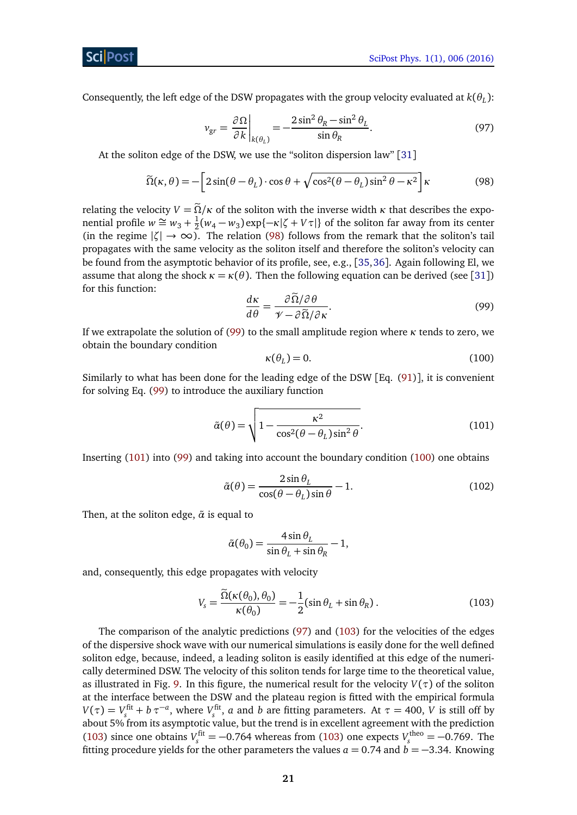<span id="page-20-4"></span>Consequently, the left edge of the DSW propagates with the group velocity evaluated at *k*(*θ<sup>L</sup>* ):

<span id="page-20-0"></span>
$$
v_{gr} = \frac{\partial \Omega}{\partial k} \bigg|_{k(\theta_L)} = -\frac{2\sin^2\theta_R - \sin^2\theta_L}{\sin\theta_R}.
$$
 (97)

At the soliton edge of the DSW, we use the "soliton dispersion law" [[31](#page-28-3)]

$$
\widetilde{\Omega}(\kappa,\theta) = -\left[2\sin(\theta - \theta_L)\cdot\cos\theta + \sqrt{\cos^2(\theta - \theta_L)\sin^2\theta - \kappa^2}\right]\kappa\tag{98}
$$

relating the velocity  $V = \tilde{\Omega}/\kappa$  of the soliton with the inverse width  $\kappa$  that describes the exponential profile  $w \cong w_3 + \frac{1}{2}$  $\frac{1}{2}(w_4 - w_3) \exp\{-\kappa |\zeta + V\tau|\}$  of the soliton far away from its center (in the regime  $|\zeta| \to \infty$ ). The relation [\(98\)](#page-20-0) follows from the remark that the soliton's tail propagates with the same velocity as the soliton itself and therefore the soliton's velocity can be found from the asymptotic behavior of its profile, see, e.g., [[35,](#page-28-7)[36](#page-28-8)]. Again following El, we assume that along the shock  $\kappa = \kappa(\theta)$ . Then the following equation can be derived (see [[31](#page-28-3)]) for this function:

<span id="page-20-3"></span><span id="page-20-1"></span>
$$
\frac{d\kappa}{d\theta} = \frac{\partial \tilde{\Omega}/\partial \theta}{\mathcal{V} - \partial \tilde{\Omega}/\partial \kappa}.
$$
\n(99)

If we extrapolate the solution of [\(99\)](#page-20-1) to the small amplitude region where *κ* tends to zero, we obtain the boundary condition

<span id="page-20-2"></span>
$$
\kappa(\theta_L) = 0. \tag{100}
$$

Similarly to what has been done for the leading edge of the DSW [Eq. [\(91\)](#page-19-4)], it is convenient for solving Eq. [\(99\)](#page-20-1) to introduce the auxiliary function

$$
\tilde{\alpha}(\theta) = \sqrt{1 - \frac{\kappa^2}{\cos^2(\theta - \theta_L)\sin^2\theta}}.
$$
\n(101)

Inserting [\(101\)](#page-20-2) into [\(99\)](#page-20-1) and taking into account the boundary condition [\(100\)](#page-20-3) one obtains

$$
\tilde{\alpha}(\theta) = \frac{2\sin\theta_L}{\cos(\theta - \theta_L)\sin\theta} - 1.
$$
\n(102)

Then, at the soliton edge,  $\tilde{\alpha}$  is equal to

<span id="page-20-5"></span>
$$
\tilde{\alpha}(\theta_0) = \frac{4 \sin \theta_L}{\sin \theta_L + \sin \theta_R} - 1,
$$

and, consequently, this edge propagates with velocity

$$
V_s = \frac{\tilde{\Omega}(\kappa(\theta_0), \theta_0)}{\kappa(\theta_0)} = -\frac{1}{2} (\sin \theta_L + \sin \theta_R).
$$
 (103)

The comparison of the analytic predictions [\(97\)](#page-20-4) and [\(103\)](#page-20-5) for the velocities of the edges of the dispersive shock wave with our numerical simulations is easily done for the well defined soliton edge, because, indeed, a leading soliton is easily identified at this edge of the numerically determined DSW. The velocity of this soliton tends for large time to the theoretical value, as illustrated in Fig. [9.](#page-21-1) In this figure, the numerical result for the velocity *V*(*τ*) of the soliton at the interface between the DSW and the plateau region is fitted with the empirical formula  $V(\tau) = V_s^{\text{fit}} + b \tau^{-a}$ , where  $V_s^{\text{fit}}$ , *a* and *b* are fitting parameters. At  $\tau = 400$ , *V* is still off by about 5% from its asymptotic value, but the trend is in excellent agreement with the prediction [\(103\)](#page-20-5) since one obtains  $V_s^{\text{fit}} = -0.764$  whereas from (103) one expects  $V_s^{\text{theo}} = -0.769$ . The fitting procedure yields for the other parameters the values  $a = 0.74$  and  $b = -3.34$ . Knowing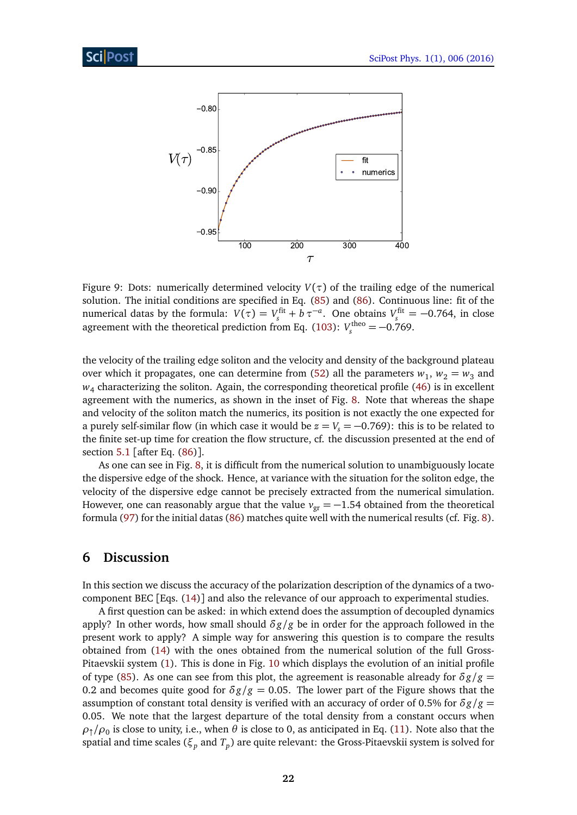

<span id="page-21-1"></span>Figure 9: Dots: numerically determined velocity  $V(\tau)$  of the trailing edge of the numerical solution. The initial conditions are specified in Eq. [\(85\)](#page-17-1) and [\(86\)](#page-17-2). Continuous line: fit of the numerical datas by the formula:  $V(\tau) = V_s^{\text{fit}} + b \tau^{-a}$ . One obtains  $V_s^{\text{fit}} = -0.764$ , in close agreement with the theoretical prediction from Eq. [\(103\)](#page-20-5):  $V_s^{\text{theo}} = -0.769$ .

the velocity of the trailing edge soliton and the velocity and density of the background plateau over which it propagates, one can determine from  $(52)$  all the parameters  $w_1$ ,  $w_2 = w_3$  and *w*4 characterizing the soliton. Again, the corresponding theoretical profile [\(46\)](#page-7-3) is in excellent agreement with the numerics, as shown in the inset of Fig. [8.](#page-17-0) Note that whereas the shape and velocity of the soliton match the numerics, its position is not exactly the one expected for a purely self-similar flow (in which case it would be  $z = V_s = -0.769$ ): this is to be related to the finite set-up time for creation the flow structure, cf. the discussion presented at the end of section [5.1](#page-16-0) [after Eq. [\(86\)](#page-17-2)].

As one can see in Fig. [8,](#page-17-0) it is difficult from the numerical solution to unambiguously locate the dispersive edge of the shock. Hence, at variance with the situation for the soliton edge, the velocity of the dispersive edge cannot be precisely extracted from the numerical simulation. However, one can reasonably argue that the value  $v_{\text{gr}} = -1.54$  obtained from the theoretical formula [\(97\)](#page-20-4) for the initial datas [\(86\)](#page-17-2) matches quite well with the numerical results (cf. Fig. [8\)](#page-17-0).

# <span id="page-21-0"></span>**6 Discussion**

In this section we discuss the accuracy of the polarization description of the dynamics of a twocomponent BEC [Eqs. [\(14\)](#page-3-5)] and also the relevance of our approach to experimental studies.

A first question can be asked: in which extend does the assumption of decoupled dynamics apply? In other words, how small should *δg/g* be in order for the approach followed in the present work to apply? A simple way for answering this question is to compare the results obtained from [\(14\)](#page-3-5) with the ones obtained from the numerical solution of the full Gross-Pitaevskii system [\(1\)](#page-2-1). This is done in Fig. [10](#page-22-0) which displays the evolution of an initial profile of type [\(85\)](#page-17-1). As one can see from this plot, the agreement is reasonable already for  $\delta g/g =$ 0.2 and becomes quite good for  $\delta g/g = 0.05$ . The lower part of the Figure shows that the assumption of constant total density is verified with an accuracy of order of 0.5% for *δg/g* = 0.05. We note that the largest departure of the total density from a constant occurs when  $\rho_{\uparrow}/\rho_0$  is close to unity, i.e., when  $\theta$  is close to 0, as anticipated in Eq. [\(11\)](#page-3-3). Note also that the spatial and time scales (*ξ<sup>p</sup>* and *T<sup>p</sup>* ) are quite relevant: the Gross-Pitaevskii system is solved for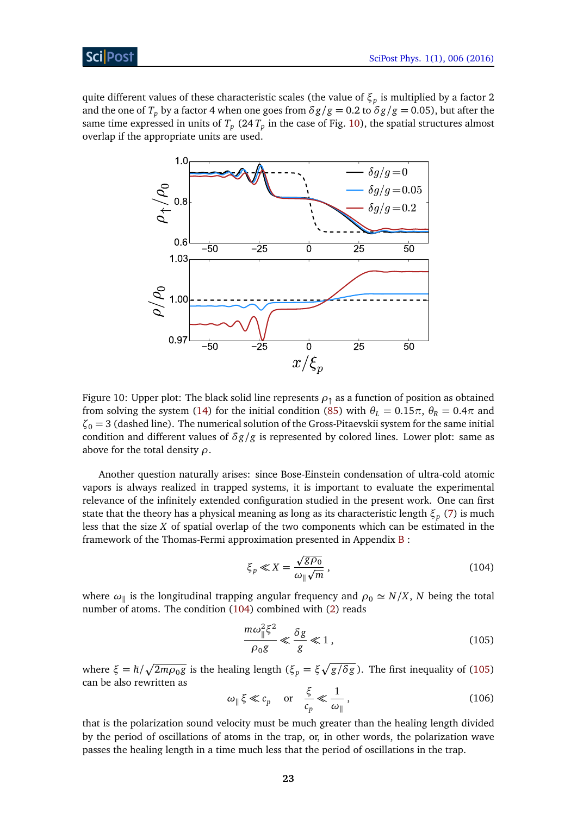Sci Post

quite different values of these characteristic scales (the value of *ξ<sup>p</sup>* is multiplied by a factor 2 and the one of  $T_p$  by a factor 4 when one goes from  $\delta g/g = 0.2$  to  $\delta g/g = 0.05$ ), but after the same time expressed in units of  $T_p$  (24  $T_p$  in the case of Fig. [10\)](#page-22-0), the spatial structures almost overlap if the appropriate units are used.



<span id="page-22-0"></span>Figure 10: Upper plot: The black solid line represents *ρ*↑ as a function of position as obtained from solving the system [\(14\)](#page-3-5) for the initial condition [\(85\)](#page-17-1) with  $\theta_L = 0.15\pi$ ,  $\theta_R = 0.4\pi$  and  $\zeta_0 = 3$  (dashed line). The numerical solution of the Gross-Pitaevskii system for the same initial condition and different values of *δg/g* is represented by colored lines. Lower plot: same as above for the total density *ρ*.

Another question naturally arises: since Bose-Einstein condensation of ultra-cold atomic vapors is always realized in trapped systems, it is important to evaluate the experimental relevance of the infinitely extended configuration studied in the present work. One can first state that the theory has a physical meaning as long as its characteristic length *ξ<sup>p</sup>* [\(7\)](#page-3-0) is much less that the size *X* of spatial overlap of the two components which can be estimated in the framework of the Thomas-Fermi approximation presented in Appendix  $B$ :

<span id="page-22-1"></span>
$$
\xi_p \ll X = \frac{\sqrt{g\rho_0}}{\omega_{\parallel}\sqrt{m}},\tag{104}
$$

where  $\omega_{\parallel}$  is the longitudinal trapping angular frequency and  $\rho_0 \simeq N/X$ ,  $N$  being the total number of atoms. The condition [\(104\)](#page-22-1) combined with [\(2\)](#page-2-3) reads

<span id="page-22-2"></span>
$$
\frac{m\omega_{\parallel}^2 \xi^2}{\rho_0 g} \ll \frac{\delta g}{g} \ll 1, \qquad (105)
$$

where  $\xi = \hbar / \sqrt{2m\rho_0 g}$  is the healing length ( $\xi_p = \xi \sqrt{g/\delta g}$ ). The first inequality of [\(105\)](#page-22-2) can be also rewritten as

$$
\omega_{\parallel} \xi \ll c_p \quad \text{or} \quad \frac{\xi}{c_p} \ll \frac{1}{\omega_{\parallel}},\tag{106}
$$

that is the polarization sound velocity must be much greater than the healing length divided by the period of oscillations of atoms in the trap, or, in other words, the polarization wave passes the healing length in a time much less that the period of oscillations in the trap.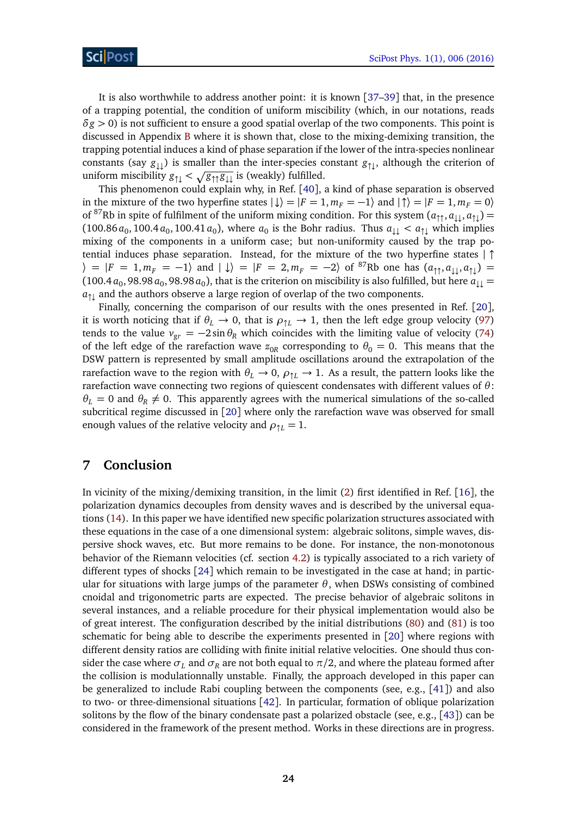It is also worthwhile to address another point: it is known [[37](#page-28-9)[–39](#page-28-10)] that, in the presence of a trapping potential, the condition of uniform miscibility (which, in our notations, reads  $\delta$ *g*  $>$  0) is not sufficient to ensure a good spatial overlap of the two components. This point is discussed in Appendix [B](#page-24-1) where it is shown that, close to the mixing-demixing transition, the trapping potential induces a kind of phase separation if the lower of the intra-species nonlinear constants (say *g*↓↓) is smaller than the inter-species constant *g*↑↓, although the criterion of uniform miscibility *g*↑↓ *<* p*g*↑↑ *g*↓↓ is (weakly) fulfilled.

This phenomenon could explain why, in Ref. [[40](#page-28-11)], a kind of phase separation is observed in the mixture of the two hyperfine states  $|\downarrow\rangle = |F = 1, m_F = -1\rangle$  and  $|\uparrow\rangle = |F = 1, m_F = 0\rangle$ of <sup>87</sup>Rb in spite of fulfilment of the uniform mixing condition. For this system  $(a_{\uparrow\uparrow}, a_{\downarrow\downarrow}, a_{\uparrow\downarrow})$  =  $(100.86 a_0, 100.4 a_0, 100.41 a_0)$ , where  $a_0$  is the Bohr radius. Thus  $a_{\downarrow\downarrow} < a_{\uparrow\downarrow}$  which implies mixing of the components in a uniform case; but non-uniformity caused by the trap potential induces phase separation. Instead, for the mixture of the two hyperfine states | ↑  $\langle \rangle = |F = 1, m_F = -1 \rangle$  and  $| \downarrow \rangle = |F = 2, m_F = -2 \rangle$  of <sup>87</sup>Rb one has  $(a_{\uparrow \uparrow}, a_{\downarrow \downarrow}, a_{\uparrow \downarrow}) =$ (100.4  $a_0$ , 98.98  $a_0$ , 98.98  $a_0$ ), that is the criterion on miscibility is also fulfilled, but here  $a_{\downarrow\downarrow} =$  $a_{\uparrow\downarrow}$  and the authors observe a large region of overlap of the two components.

Finally, concerning the comparison of our results with the ones presented in Ref. [[20](#page-27-6)], it is worth noticing that if  $\theta_L \to 0$ , that is  $\rho_{\uparrow L} \to 1$ , then the left edge group velocity [\(97\)](#page-20-4) tends to the value  $v_{gr} = -2 \sin \theta_R$  which coincides with the limiting value of velocity [\(74\)](#page-12-4) of the left edge of the rarefaction wave  $z_{0R}$  corresponding to  $\theta_0 = 0$ . This means that the DSW pattern is represented by small amplitude oscillations around the extrapolation of the rarefaction wave to the region with  $\theta_L \to 0$ ,  $\rho_{\uparrow L} \to 1$ . As a result, the pattern looks like the rarefaction wave connecting two regions of quiescent condensates with different values of *θ*:  $\theta_L = 0$  and  $\theta_R \neq 0$ . This apparently agrees with the numerical simulations of the so-called subcritical regime discussed in [[20](#page-27-6)] where only the rarefaction wave was observed for small enough values of the relative velocity and  $\rho_{\uparrow L} = 1$ .

# <span id="page-23-0"></span>**7 Conclusion**

In vicinity of the mixing/demixing transition, in the limit [\(2\)](#page-2-3) first identified in Ref. [[16](#page-27-4)], the polarization dynamics decouples from density waves and is described by the universal equations [\(14\)](#page-3-5). In this paper we have identified new specific polarization structures associated with these equations in the case of a one dimensional system: algebraic solitons, simple waves, dispersive shock waves, etc. But more remains to be done. For instance, the non-monotonous behavior of the Riemann velocities (cf. section [4.2\)](#page-10-0) is typically associated to a rich variety of different types of shocks [[24](#page-27-12)] which remain to be investigated in the case at hand; in particular for situations with large jumps of the parameter  $θ$ , when DSWs consisting of combined cnoidal and trigonometric parts are expected. The precise behavior of algebraic solitons in several instances, and a reliable procedure for their physical implementation would also be of great interest. The configuration described by the initial distributions [\(80\)](#page-15-2) and [\(81\)](#page-16-1) is too schematic for being able to describe the experiments presented in [[20](#page-27-6)] where regions with different density ratios are colliding with finite initial relative velocities. One should thus consider the case where  $\sigma_L$  and  $\sigma_R$  are not both equal to  $\pi/2$ , and where the plateau formed after the collision is modulationnally unstable. Finally, the approach developed in this paper can be generalized to include Rabi coupling between the components (see, e.g., [[41](#page-28-12)]) and also to two- or three-dimensional situations [[42](#page-28-13)]. In particular, formation of oblique polarization solitons by the flow of the binary condensate past a polarized obstacle (see, e.g., [[43](#page-28-14)]) can be considered in the framework of the present method. Works in these directions are in progress.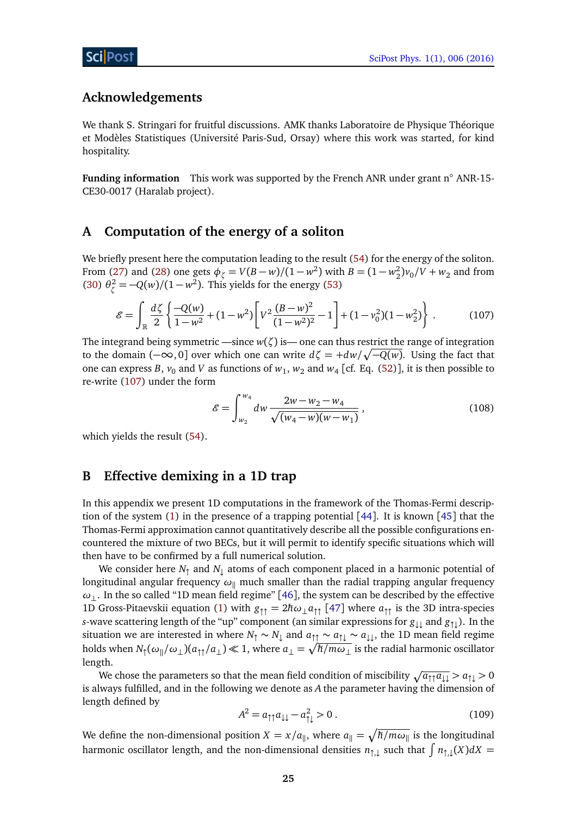# **Acknowledgements**

We thank S. Stringari for fruitful discussions. AMK thanks Laboratoire de Physique Théorique et Modèles Statistiques (Université Paris-Sud, Orsay) where this work was started, for kind hospitality.

**Funding information** This work was supported by the French ANR under grant n◦ ANR-15- CE30-0017 (Haralab project).

## <span id="page-24-0"></span>**A Computation of the energy of a soliton**

We briefly present here the computation leading to the result [\(54\)](#page-8-2) for the energy of the soliton. From [\(27\)](#page-5-5) and [\(28\)](#page-5-6) one gets  $\phi_{\zeta} = V(B - w)/(1 - w^2)$  with  $B = (1 - w_2^2)v_0/V + w_2$  and from [\(30\)](#page-6-1)  $\theta_{\zeta}^2 = -Q(w)/(1 - w^2)$ . This yields for the energy [\(53\)](#page-8-4)

$$
\mathcal{E} = \int_{\mathbb{R}} \frac{d\zeta}{2} \left\{ \frac{-Q(w)}{1 - w^2} + (1 - w^2) \left[ V^2 \frac{(B - w)^2}{(1 - w^2)^2} - 1 \right] + (1 - v_0^2)(1 - w_2^2) \right\} \,. \tag{107}
$$

The integrand being symmetric —since  $w(\zeta)$  is— one can thus restrict the range of integration to the domain (−∞, 0] over which one can write *dζ* = +*dw/* p −*Q*(*w*). Using the fact that one can express *B*,  $v_0$  and *V* as functions of  $w_1$ ,  $w_2$  and  $w_4$  [cf. Eq. [\(52\)](#page-8-0)], it is then possible to re-write [\(107\)](#page-24-2) under the form

<span id="page-24-2"></span>
$$
\mathcal{E} = \int_{w_2}^{w_4} dw \, \frac{2w - w_2 - w_4}{\sqrt{(w_4 - w)(w - w_1)}},\tag{108}
$$

which yields the result [\(54\)](#page-8-2).

## <span id="page-24-1"></span>**B Effective demixing in a 1D trap**

In this appendix we present 1D computations in the framework of the Thomas-Fermi descrip-tion of the system [\(1\)](#page-2-1) in the presence of a trapping potential [[44](#page-28-15)]. It is known [[45](#page-29-0)] that the Thomas-Fermi approximation cannot quantitatively describe all the possible configurations encountered the mixture of two BECs, but it will permit to identify specific situations which will then have to be confirmed by a full numerical solution.

We consider here  $N_{\uparrow}$  and  $N_{\downarrow}$  atoms of each component placed in a harmonic potential of longitudinal angular frequency  $\omega_{\parallel}$  much smaller than the radial trapping angular frequency  $ω_$ . In the so called "1D mean field regime" [[46](#page-29-1)], the system can be described by the effective 1D Gross-Pitaevskii equation [\(1\)](#page-2-1) with  $g_{\uparrow\uparrow} = 2\hbar\omega_\perp a_{\uparrow\uparrow}$  [[47](#page-29-2)] where  $a_{\uparrow\uparrow}$  is the 3D intra-species *s*-wave scattering length of the "up" component (an similar expressions for *g*↓↓ and *g*↑↓). In the situation we are interested in where  $N_1 \sim N_1$  and  $a_{\uparrow\uparrow} \sim a_{\uparrow\downarrow} \sim a_{\downarrow\downarrow}$ , the 1D mean field regime holds when  $N_\uparrow(\omega_\parallel/\omega_\perp)(a_{\uparrow\uparrow}/a_\perp)\ll 1,$  where  $a_\perp=\sqrt{\hbar/m\omega_\perp}$  is the radial harmonic oscillator length.

We chose the parameters so that the mean field condition of miscibility  $\sqrt{a_{\uparrow\uparrow}a_{\downarrow\downarrow}} > a_{\uparrow\downarrow} > 0$ is always fulfilled, and in the following we denote as *A* the parameter having the dimension of length defined by

<span id="page-24-3"></span>
$$
A^2 = a_{\uparrow\uparrow} a_{\downarrow\downarrow} - a_{\uparrow\downarrow}^2 > 0. \tag{109}
$$

We define the non-dimensional position  $X = x/a_{\parallel}$ , where  $a_{\parallel} = \sqrt{\hbar/m\omega_{\parallel}}$  is the longitudinal harmonic oscillator length, and the non-dimensional densities  $n_{\uparrow,\downarrow}$  such that  $\int n_{\uparrow,\downarrow}(X)dX=$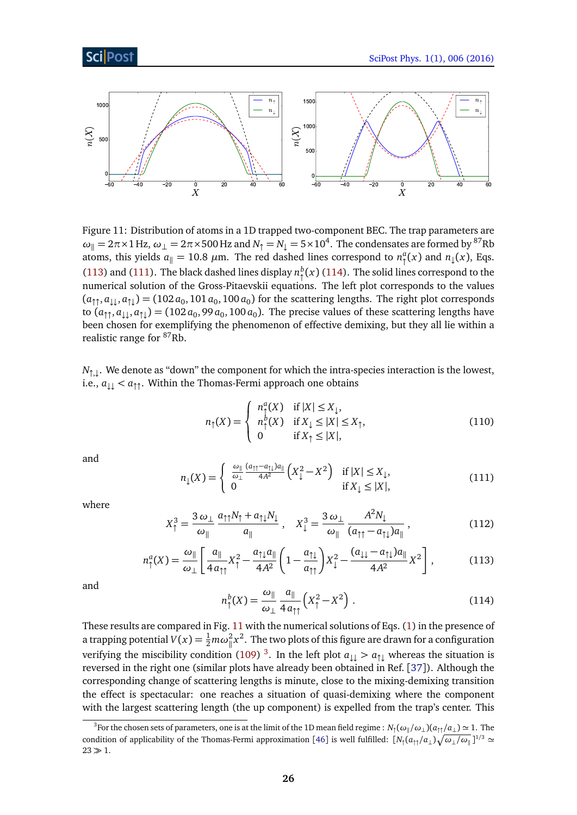

<span id="page-25-3"></span>Figure 11: Distribution of atoms in a 1D trapped two-component BEC. The trap parameters are  $\omega_\parallel = 2\pi \times 1$  Hz,  $\omega_\perp = 2\pi \times 500$  Hz and  $N_\uparrow = N_\downarrow = 5 \times 10^4$ . The condensates are formed by <sup>87</sup>Rb atoms, this yields  $a_{\parallel} = 10.8$   $\mu$ m. The red dashed lines correspond to  $n_{\uparrow}^a(x)$  and  $n_{\downarrow}(x)$ , Eqs. [\(113\)](#page-25-0) and [\(111\)](#page-25-1). The black dashed lines display  $n_{\uparrow}^{b}(x)$  [\(114\)](#page-25-2). The solid lines correspond to the numerical solution of the Gross-Pitaevskii equations. The left plot corresponds to the values  $(a_{\uparrow\uparrow}, a_{\downarrow\downarrow}, a_{\uparrow\downarrow}) = (102 \, a_0, 101 \, a_0, 100 \, a_0)$  for the scattering lengths. The right plot corresponds to  $(a_{\uparrow\uparrow},a_{\downarrow\downarrow},a_{\uparrow\downarrow})=(102\,a_0,99\,a_0,100\,a_0).$  The precise values of these scattering lengths have been chosen for exemplifying the phenomenon of effective demixing, but they all lie within a realistic range for <sup>87</sup>Rb.

 $N_{\uparrow,\downarrow}.$  We denote as "down" the component for which the intra-species interaction is the lowest, i.e.,  $a_{\perp\perp} < a_{\uparrow\uparrow}$ . Within the Thomas-Fermi approach one obtains

$$
n_{\uparrow}(X) = \begin{cases} n_{\uparrow}^{a}(X) & \text{if } |X| \le X_{\downarrow}, \\ n_{\uparrow}^{b}(X) & \text{if } X_{\downarrow} \le |X| \le X_{\uparrow}, \\ 0 & \text{if } X_{\uparrow} \le |X|, \end{cases}
$$
(110)

<span id="page-25-1"></span>and

$$
n_{\downarrow}(X) = \begin{cases} \n\frac{\omega_{\parallel}}{\omega_{\perp}} \frac{(a_{\uparrow\uparrow} - a_{\uparrow\downarrow})a_{\parallel}}{4A^2} \left( X_{\downarrow}^2 - X^2 \right) & \text{if } |X| \le X_{\downarrow}, \\ \n0 & \text{if } X_{\downarrow} \le |X|, \n\end{cases} \tag{111}
$$

<span id="page-25-0"></span>where

$$
X_{\uparrow}^{3} = \frac{3\,\omega_{\perp}}{\omega_{\parallel}} \frac{a_{\uparrow\uparrow}N_{\uparrow} + a_{\uparrow\downarrow}N_{\downarrow}}{a_{\parallel}} , \quad X_{\downarrow}^{3} = \frac{3\,\omega_{\perp}}{\omega_{\parallel}} \frac{A^{2}N_{\downarrow}}{(a_{\uparrow\uparrow} - a_{\uparrow\downarrow})a_{\parallel}} , \tag{112}
$$

$$
n_{\uparrow}^{a}(X) = \frac{\omega_{\parallel}}{\omega_{\perp}} \left[ \frac{a_{\parallel}}{4 a_{\uparrow \uparrow}} X_{\uparrow}^{2} - \frac{a_{\uparrow \downarrow} a_{\parallel}}{4 A^{2}} \left( 1 - \frac{a_{\uparrow \downarrow}}{a_{\uparrow \uparrow}} \right) X_{\downarrow}^{2} - \frac{(a_{\downarrow \downarrow} - a_{\uparrow \downarrow}) a_{\parallel}}{4 A^{2}} X^{2} \right],
$$
(113)

<span id="page-25-2"></span>and

$$
n_{\uparrow}^{b}(X) = \frac{\omega_{\parallel}}{\omega_{\perp}} \frac{a_{\parallel}}{4 a_{\uparrow \uparrow}} \left(X_{\uparrow}^{2} - X^{2}\right). \tag{114}
$$

These results are compared in Fig. [11](#page-25-3) with the numerical solutions of Eqs. [\(1\)](#page-2-1) in the presence of a trapping potential  $V(x) = \frac{1}{2} m \omega_{\parallel}^2 x^2$ . The two plots of this figure are drawn for a configuration verifying the miscibility condition [\(109\)](#page-24-3)<sup>[3](#page-25-4)</sup>. In the left plot  $a_{\perp\perp} > a_{\uparrow\perp}$  whereas the situation is reversed in the right one (similar plots have already been obtained in Ref. [[37](#page-28-9)]). Although the corresponding change of scattering lengths is minute, close to the mixing-demixing transition the effect is spectacular: one reaches a situation of quasi-demixing where the component with the largest scattering length (the up component) is expelled from the trap's center. This

<span id="page-25-4"></span> $^3$ For the chosen sets of parameters, one is at the limit of the 1D mean field regime :  $N_\uparrow(\omega_\parallel/\omega_\perp)(a_{\uparrow\uparrow}/a_\perp)\simeq 1.$  The condition of applicability of the Thomas-Fermi approximation [[46](#page-29-1)] is well fulfilled:  $[N_1(a_{\uparrow\uparrow}/a_\perp)\sqrt{\omega_\perp/\omega_\parallel}]^{1/3} \simeq$  $23 \gg 1$ .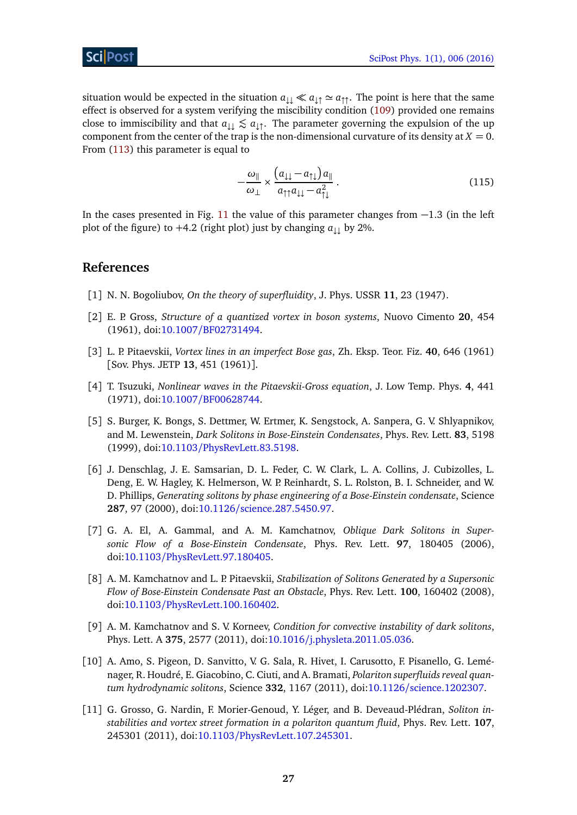# ScilPos<sup>.</sup>

situation would be expected in the situation  $a_{\downarrow\downarrow} \ll a_{\downarrow\uparrow} \simeq a_{\uparrow\uparrow}$ . The point is here that the same effect is observed for a system verifying the miscibility condition [\(109\)](#page-24-3) provided one remains close to immiscibility and that  $a_{\downarrow\downarrow} \lesssim a_{\downarrow\uparrow}$ . The parameter governing the expulsion of the up component from the center of the trap is the non-dimensional curvature of its density at  $X = 0$ . From [\(113\)](#page-25-0) this parameter is equal to

<span id="page-26-0"></span>
$$
-\frac{\omega_{\parallel}}{\omega_{\perp}} \times \frac{\left(a_{\downarrow\downarrow} - a_{\uparrow\downarrow}\right) a_{\parallel}}{a_{\uparrow\uparrow} a_{\downarrow\downarrow} - a_{\uparrow\downarrow}^2} \,. \tag{115}
$$

In the cases presented in Fig. [11](#page-25-3) the value of this parameter changes from −1.3 (in the left plot of the figure) to  $+4.2$  (right plot) just by changing  $a_{\perp}$  by 2%.

#### **References**

- <span id="page-26-1"></span>[1] N. N. Bogoliubov, *On the theory of superfluidity*, J. Phys. USSR **11**, 23 (1947).
- <span id="page-26-2"></span>[2] E. P. Gross, *Structure of a quantized vortex in boson systems*, Nuovo Cimento **20**, 454 (1961), doi:10.1007/[BF02731494.](http://dx.doi.org/10.1007/BF02731494)
- <span id="page-26-3"></span>[3] L. P. Pitaevskii, *Vortex lines in an imperfect Bose gas*, Zh. Eksp. Teor. Fiz. **40**, 646 (1961) [Sov. Phys. JETP **13**, 451 (1961)].
- <span id="page-26-4"></span>[4] T. Tsuzuki, *Nonlinear waves in the Pitaevskii-Gross equation*, J. Low Temp. Phys. **4**, 441 (1971), doi:10.1007/[BF00628744.](http://dx.doi.org/10.1007/BF00628744)
- <span id="page-26-5"></span>[5] S. Burger, K. Bongs, S. Dettmer, W. Ertmer, K. Sengstock, A. Sanpera, G. V. Shlyapnikov, and M. Lewenstein, *Dark Solitons in Bose-Einstein Condensates*, Phys. Rev. Lett. **83**, 5198 (1999), doi:10.1103/[PhysRevLett.83.5198.](http://dx.doi.org/10.1103/PhysRevLett.83.5198)
- <span id="page-26-6"></span>[6] J. Denschlag, J. E. Samsarian, D. L. Feder, C. W. Clark, L. A. Collins, J. Cubizolles, L. Deng, E. W. Hagley, K. Helmerson, W. P. Reinhardt, S. L. Rolston, B. I. Schneider, and W. D. Phillips, *Generating solitons by phase engineering of a Bose-Einstein condensate*, Science **287**, 97 (2000), doi:10.1126/[science.287.5450.97.](http://dx.doi.org/10.1126/science.287.5450.97)
- <span id="page-26-7"></span>[7] G. A. El, A. Gammal, and A. M. Kamchatnov, *Oblique Dark Solitons in Supersonic Flow of a Bose-Einstein Condensate*, Phys. Rev. Lett. **97**, 180405 (2006), doi:10.1103/[PhysRevLett.97.180405.](http://dx.doi.org/10.1103/PhysRevLett.97.180405)
- [8] A. M. Kamchatnov and L. P. Pitaevskii, *Stabilization of Solitons Generated by a Supersonic Flow of Bose-Einstein Condensate Past an Obstacle*, Phys. Rev. Lett. **100**, 160402 (2008), doi:10.1103/[PhysRevLett.100.160402.](http://dx.doi.org/10.1103/PhysRevLett.100.160402)
- <span id="page-26-8"></span>[9] A. M. Kamchatnov and S. V. Korneev, *Condition for convective instability of dark solitons*, Phys. Lett. A **375**, 2577 (2011), doi:10.1016/[j.physleta.2011.05.036.](http://dx.doi.org/10.1016/j.physleta.2011.05.036)
- <span id="page-26-9"></span>[10] A. Amo, S. Pigeon, D. Sanvitto, V. G. Sala, R. Hivet, I. Carusotto, F. Pisanello, G. Leménager, R. Houdré, E. Giacobino, C. Ciuti, and A. Bramati, *Polariton superfluids reveal quantum hydrodynamic solitons*, Science **332**, 1167 (2011), doi:10.1126/[science.1202307.](http://dx.doi.org/10.1126/science.1202307)
- <span id="page-26-10"></span>[11] G. Grosso, G. Nardin, F. Morier-Genoud, Y. Léger, and B. Deveaud-Plédran, *Soliton instabilities and vortex street formation in a polariton quantum fluid*, Phys. Rev. Lett. **107**, 245301 (2011), doi:10.1103/[PhysRevLett.107.245301.](http://dx.doi.org/10.1103/PhysRevLett.107.245301)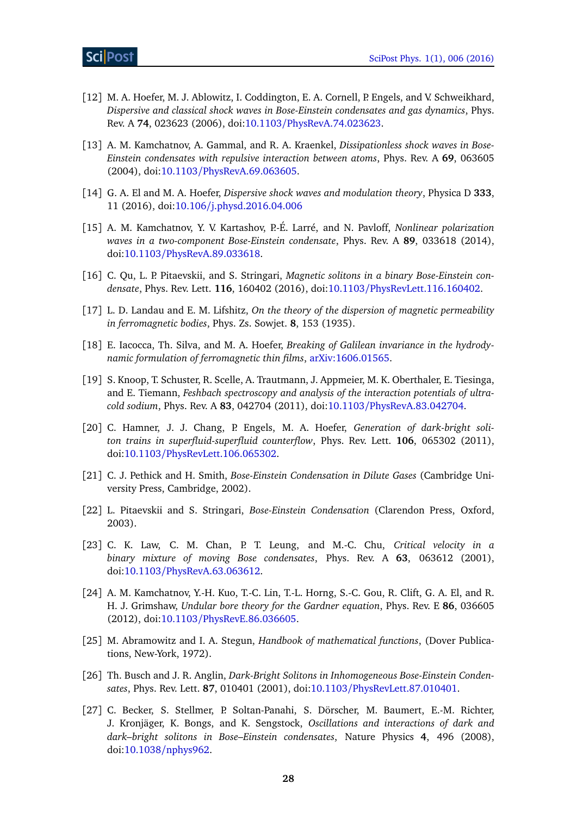- <span id="page-27-0"></span>[12] M. A. Hoefer, M. J. Ablowitz, I. Coddington, E. A. Cornell, P. Engels, and V. Schweikhard, *Dispersive and classical shock waves in Bose-Einstein condensates and gas dynamics*, Phys. Rev. A **74**, 023623 (2006), doi:10.1103/[PhysRevA.74.023623.](http://dx.doi.org/10.1103/PhysRevA.74.023623)
- <span id="page-27-1"></span>[13] A. M. Kamchatnov, A. Gammal, and R. A. Kraenkel, *Dissipationless shock waves in Bose-Einstein condensates with repulsive interaction between atoms*, Phys. Rev. A **69**, 063605 (2004), doi:10.1103/[PhysRevA.69.063605.](http://dx.doi.org/10.1103/PhysRevA.69.063605)
- <span id="page-27-2"></span>[14] G. A. El and M. A. Hoefer, *Dispersive shock waves and modulation theory*, Physica D **333**, 11 (2016), doi:10.106/[j.physd.2016.04.006](http://dx.doi.org/10.106/j.physd.2016.04.006)
- <span id="page-27-3"></span>[15] A. M. Kamchatnov, Y. V. Kartashov, P.-É. Larré, and N. Pavloff, *Nonlinear polarization waves in a two-component Bose-Einstein condensate*, Phys. Rev. A **89**, 033618 (2014), doi:10.1103/[PhysRevA.89.033618.](http://dx.doi.org/10.1103/PhysRevA.89.033618)
- <span id="page-27-4"></span>[16] C. Qu, L. P. Pitaevskii, and S. Stringari, *Magnetic solitons in a binary Bose-Einstein condensate*, Phys. Rev. Lett. **116**, 160402 (2016), doi:10.1103/[PhysRevLett.116.160402.](http://dx.doi.org/10.1103/PhysRevLett.116.160402)
- <span id="page-27-9"></span>[17] L. D. Landau and E. M. Lifshitz, *On the theory of the dispersion of magnetic permeability in ferromagnetic bodies*, Phys. Zs. Sowjet. **8**, 153 (1935).
- <span id="page-27-10"></span>[18] E. Iacocca, Th. Silva, and M. A. Hoefer, *Breaking of Galilean invariance in the hydrodynamic formulation of ferromagnetic thin films*, [arXiv:1606.01565.](https://arxiv.org/abs/1606.01565)
- <span id="page-27-5"></span>[19] S. Knoop, T. Schuster, R. Scelle, A. Trautmann, J. Appmeier, M. K. Oberthaler, E. Tiesinga, and E. Tiemann, *Feshbach spectroscopy and analysis of the interaction potentials of ultracold sodium*, Phys. Rev. A **83**, 042704 (2011), doi:10.1103/[PhysRevA.83.042704.](http://dx.doi.org/10.1103/PhysRevA.83.042704)
- <span id="page-27-6"></span>[20] C. Hamner, J. J. Chang, P. Engels, M. A. Hoefer, *Generation of dark-bright soliton trains in superfluid-superfluid counterflow*, Phys. Rev. Lett. **106**, 065302 (2011), doi:10.1103/[PhysRevLett.106.065302.](http://dx.doi.org/10.1103/PhysRevLett.106.065302)
- <span id="page-27-7"></span>[21] C. J. Pethick and H. Smith, *Bose-Einstein Condensation in Dilute Gases* (Cambridge University Press, Cambridge, 2002).
- <span id="page-27-8"></span>[22] L. Pitaevskii and S. Stringari, *Bose-Einstein Condensation* (Clarendon Press, Oxford, 2003).
- <span id="page-27-11"></span>[23] C. K. Law, C. M. Chan, P. T. Leung, and M.-C. Chu, *Critical velocity in a binary mixture of moving Bose condensates*, Phys. Rev. A **63**, 063612 (2001), doi:10.1103/[PhysRevA.63.063612.](http://dx.doi.org/10.1103/PhysRevA.63.063612)
- <span id="page-27-12"></span>[24] A. M. Kamchatnov, Y.-H. Kuo, T.-C. Lin, T.-L. Horng, S.-C. Gou, R. Clift, G. A. El, and R. H. J. Grimshaw, *Undular bore theory for the Gardner equation*, Phys. Rev. E **86**, 036605 (2012), doi:10.1103/[PhysRevE.86.036605.](http://dx.doi.org/10.1103/PhysRevE.86.036605)
- <span id="page-27-13"></span>[25] M. Abramowitz and I. A. Stegun, *Handbook of mathematical functions*, (Dover Publications, New-York, 1972).
- <span id="page-27-14"></span>[26] Th. Busch and J. R. Anglin, *Dark-Bright Solitons in Inhomogeneous Bose-Einstein Condensates*, Phys. Rev. Lett. **87**, 010401 (2001), doi:10.1103/[PhysRevLett.87.010401.](http://dx.doi.org/10.1103/PhysRevLett.87.010401)
- <span id="page-27-15"></span>[27] C. Becker, S. Stellmer, P. Soltan-Panahi, S. Dörscher, M. Baumert, E.-M. Richter, J. Kronjäger, K. Bongs, and K. Sengstock, *Oscillations and interactions of dark and dark–bright solitons in Bose–Einstein condensates*, Nature Physics **4**, 496 (2008), doi:10.1038/[nphys962.](http://dx.doi.org/10.1038/nphys962)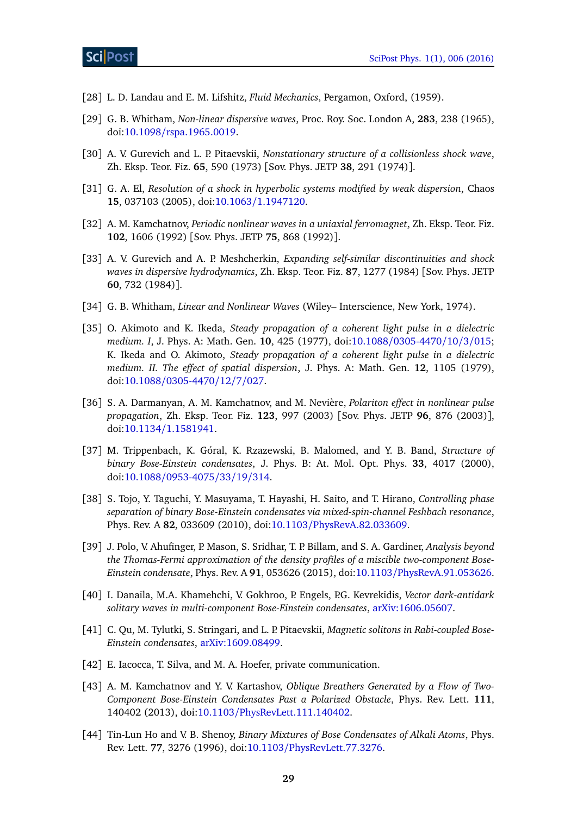- <span id="page-28-0"></span>[28] L. D. Landau and E. M. Lifshitz, *Fluid Mechanics*, Pergamon, Oxford, (1959).
- <span id="page-28-1"></span>[29] G. B. Whitham, *Non-linear dispersive waves*, Proc. Roy. Soc. London A, **283**, 238 (1965), doi:10.1098/[rspa.1965.0019.](http://dx.doi.org/10.1098/rspa.1965.0019)
- <span id="page-28-2"></span>[30] A. V. Gurevich and L. P. Pitaevskii, *Nonstationary structure of a collisionless shock wave*, Zh. Eksp. Teor. Fiz. **65**, 590 (1973) [Sov. Phys. JETP **38**, 291 (1974)].
- <span id="page-28-3"></span>[31] G. A. El, *Resolution of a shock in hyperbolic systems modified by weak dispersion*, Chaos **15**, 037103 (2005), doi:10.1063/[1.1947120.](http://dx.doi.org/10.1063/1.1947120)
- <span id="page-28-4"></span>[32] A. M. Kamchatnov, *Periodic nonlinear waves in a uniaxial ferromagnet*, Zh. Eksp. Teor. Fiz. **102**, 1606 (1992) [Sov. Phys. JETP **75**, 868 (1992)].
- <span id="page-28-5"></span>[33] A. V. Gurevich and A. P. Meshcherkin, *Expanding self-similar discontinuities and shock waves in dispersive hydrodynamics*, Zh. Eksp. Teor. Fiz. **87**, 1277 (1984) [Sov. Phys. JETP **60**, 732 (1984)].
- <span id="page-28-6"></span>[34] G. B. Whitham, *Linear and Nonlinear Waves* (Wiley– Interscience, New York, 1974).
- <span id="page-28-7"></span>[35] O. Akimoto and K. Ikeda, *Steady propagation of a coherent light pulse in a dielectric medium. I*, J. Phys. A: Math. Gen. **10**, 425 (1977), doi:10.1088/[0305-4470](http://dx.doi.org/10.1088/0305-4470/10/3/015)/10/3/015; K. Ikeda and O. Akimoto, *Steady propagation of a coherent light pulse in a dielectric medium. II. The effect of spatial dispersion*, J. Phys. A: Math. Gen. **12**, 1105 (1979), doi:10.1088/[0305-4470](http://dx.doi.org/10.1088/0305-4470/12/7/027)/12/7/027.
- <span id="page-28-8"></span>[36] S. A. Darmanyan, A. M. Kamchatnov, and M. Nevière, *Polariton effect in nonlinear pulse propagation*, Zh. Eksp. Teor. Fiz. **123**, 997 (2003) [Sov. Phys. JETP **96**, 876 (2003)], doi:10.1134/[1.1581941.](http://dx.doi.org/10.1134/1.1581941)
- <span id="page-28-9"></span>[37] M. Trippenbach, K. Góral, K. Rzazewski, B. Malomed, and Y. B. Band, *Structure of binary Bose-Einstein condensates*, J. Phys. B: At. Mol. Opt. Phys. **33**, 4017 (2000), doi:10.1088/[0953-4075](http://dx.doi.org/10.1088/0953-4075/33/19/314)/33/19/314.
- [38] S. Tojo, Y. Taguchi, Y. Masuyama, T. Hayashi, H. Saito, and T. Hirano, *Controlling phase separation of binary Bose-Einstein condensates via mixed-spin-channel Feshbach resonance*, Phys. Rev. A **82**, 033609 (2010), doi:10.1103/[PhysRevA.82.033609.](http://dx.doi.org/10.1103/PhysRevA.82.033609)
- <span id="page-28-10"></span>[39] J. Polo, V. Ahufinger, P. Mason, S. Sridhar, T. P. Billam, and S. A. Gardiner, *Analysis beyond the Thomas-Fermi approximation of the density profiles of a miscible two-component Bose-Einstein condensate*, Phys. Rev. A **91**, 053626 (2015), doi:10.1103/[PhysRevA.91.053626.](http://dx.doi.org/10.1103/PhysRevA.91.053626)
- <span id="page-28-11"></span>[40] I. Danaila, M.A. Khamehchi, V. Gokhroo, P. Engels, P.G. Kevrekidis, *Vector dark-antidark solitary waves in multi-component Bose-Einstein condensates*, [arXiv:1606.05607.](http://arxiv.org/abs/1606.05607)
- <span id="page-28-12"></span>[41] C. Qu, M. Tylutki, S. Stringari, and L. P. Pitaevskii, *Magnetic solitons in Rabi-coupled Bose-Einstein condensates*, [arXiv:1609.08499.](https://arxiv.org/abs/1609.08499)
- <span id="page-28-13"></span>[42] E. Iacocca, T. Silva, and M. A. Hoefer, private communication.
- <span id="page-28-14"></span>[43] A. M. Kamchatnov and Y. V. Kartashov, *Oblique Breathers Generated by a Flow of Two-Component Bose-Einstein Condensates Past a Polarized Obstacle*, Phys. Rev. Lett. **111**, 140402 (2013), doi:10.1103/[PhysRevLett.111.140402.](http://dx.doi.org/10.1103/PhysRevLett.111.140402)
- <span id="page-28-15"></span>[44] Tin-Lun Ho and V. B. Shenoy, *Binary Mixtures of Bose Condensates of Alkali Atoms*, Phys. Rev. Lett. **77**, 3276 (1996), doi:10.1103/[PhysRevLett.77.3276.](http://dx.doi.org/10.1103/PhysRevLett.77.3276)